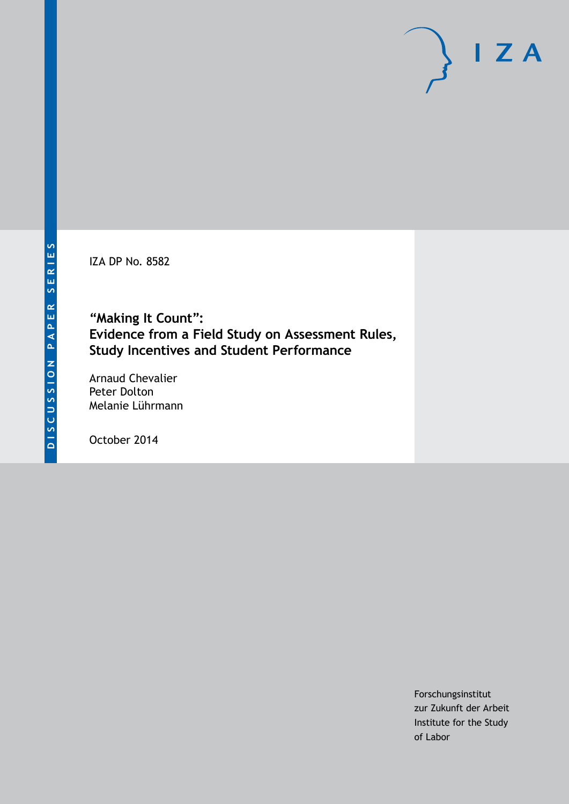IZA DP No. 8582

**"Making It Count": Evidence from a Field Study on Assessment Rules, Study Incentives and Student Performance**

Arnaud Chevalier Peter Dolton Melanie Lührmann

October 2014

Forschungsinstitut zur Zukunft der Arbeit Institute for the Study of Labor

 $I Z A$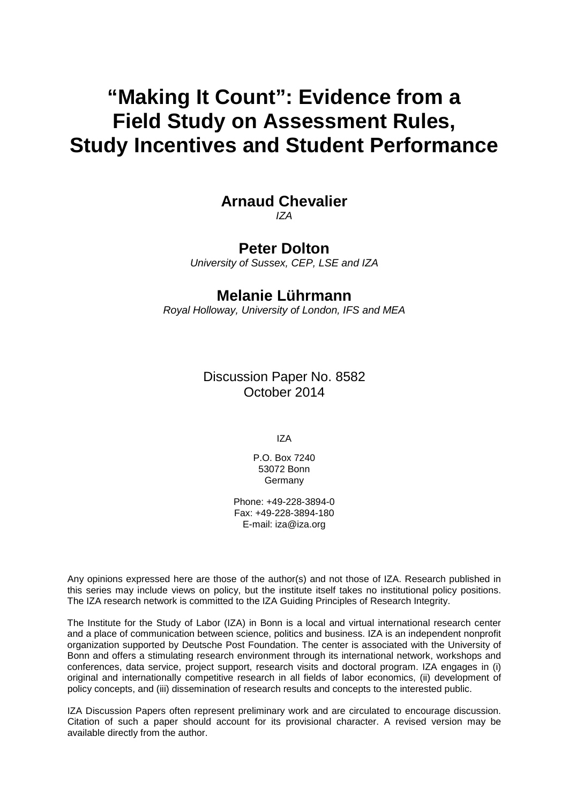# **"Making It Count": Evidence from a Field Study on Assessment Rules, Study Incentives and Student Performance**

## **Arnaud Chevalier**

*IZA*

## **Peter Dolton**

*University of Sussex, CEP, LSE and IZA*

## **Melanie Lührmann**

*Royal Holloway, University of London, IFS and MEA*

Discussion Paper No. 8582 October 2014

IZA

P.O. Box 7240 53072 Bonn Germany

Phone: +49-228-3894-0 Fax: +49-228-3894-180 E-mail: [iza@iza.org](mailto:iza@iza.org)

Any opinions expressed here are those of the author(s) and not those of IZA. Research published in this series may include views on policy, but the institute itself takes no institutional policy positions. The IZA research network is committed to the IZA Guiding Principles of Research Integrity.

The Institute for the Study of Labor (IZA) in Bonn is a local and virtual international research center and a place of communication between science, politics and business. IZA is an independent nonprofit organization supported by Deutsche Post Foundation. The center is associated with the University of Bonn and offers a stimulating research environment through its international network, workshops and conferences, data service, project support, research visits and doctoral program. IZA engages in (i) original and internationally competitive research in all fields of labor economics, (ii) development of policy concepts, and (iii) dissemination of research results and concepts to the interested public.

<span id="page-1-0"></span>IZA Discussion Papers often represent preliminary work and are circulated to encourage discussion. Citation of such a paper should account for its provisional character. A revised version may be available directly from the author.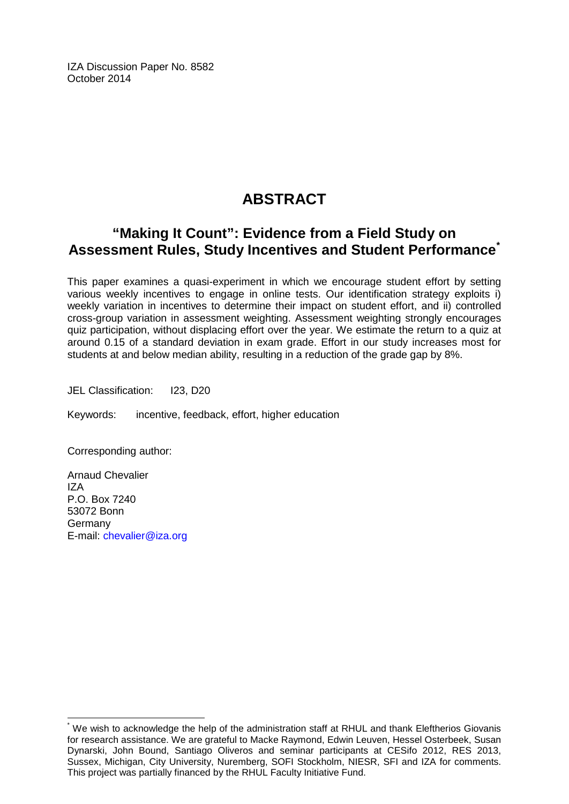IZA Discussion Paper No. 8582 October 2014

## **ABSTRACT**

## **"Making It Count": Evidence from a Field Study on Assessment Rules, Study Incentives and Student Performance[\\*](#page-1-0)**

This paper examines a quasi-experiment in which we encourage student effort by setting various weekly incentives to engage in online tests. Our identification strategy exploits i) weekly variation in incentives to determine their impact on student effort, and ii) controlled cross-group variation in assessment weighting. Assessment weighting strongly encourages quiz participation, without displacing effort over the year. We estimate the return to a quiz at around 0.15 of a standard deviation in exam grade. Effort in our study increases most for students at and below median ability, resulting in a reduction of the grade gap by 8%.

JEL Classification: I23, D20

Keywords: incentive, feedback, effort, higher education

Corresponding author:

Arnaud Chevalier IZA P.O. Box 7240 53072 Bonn Germany E-mail: [chevalier@iza.org](mailto:chevalier@iza.org)

We wish to acknowledge the help of the administration staff at RHUL and thank Eleftherios Giovanis for research assistance. We are grateful to Macke Raymond, Edwin Leuven, Hessel Osterbeek, Susan Dynarski, John Bound, Santiago Oliveros and seminar participants at CESifo 2012, RES 2013, Sussex, Michigan, City University, Nuremberg, SOFI Stockholm, NIESR, SFI and IZA for comments. This project was partially financed by the RHUL Faculty Initiative Fund.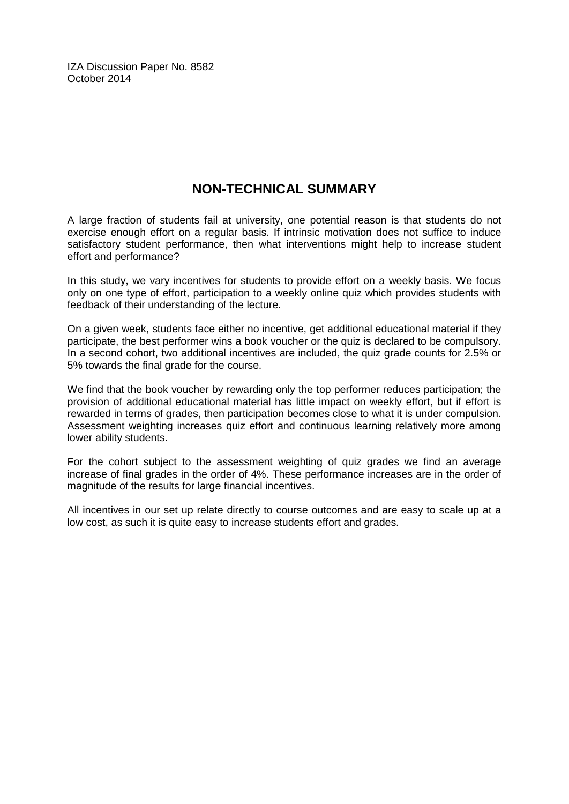IZA Discussion Paper No. 8582 October 2014

## **NON-TECHNICAL SUMMARY**

A large fraction of students fail at university, one potential reason is that students do not exercise enough effort on a regular basis. If intrinsic motivation does not suffice to induce satisfactory student performance, then what interventions might help to increase student effort and performance?

In this study, we vary incentives for students to provide effort on a weekly basis. We focus only on one type of effort, participation to a weekly online quiz which provides students with feedback of their understanding of the lecture.

On a given week, students face either no incentive, get additional educational material if they participate, the best performer wins a book voucher or the quiz is declared to be compulsory. In a second cohort, two additional incentives are included, the quiz grade counts for 2.5% or 5% towards the final grade for the course.

We find that the book voucher by rewarding only the top performer reduces participation; the provision of additional educational material has little impact on weekly effort, but if effort is rewarded in terms of grades, then participation becomes close to what it is under compulsion. Assessment weighting increases quiz effort and continuous learning relatively more among lower ability students.

For the cohort subject to the assessment weighting of quiz grades we find an average increase of final grades in the order of 4%. These performance increases are in the order of magnitude of the results for large financial incentives.

All incentives in our set up relate directly to course outcomes and are easy to scale up at a low cost, as such it is quite easy to increase students effort and grades.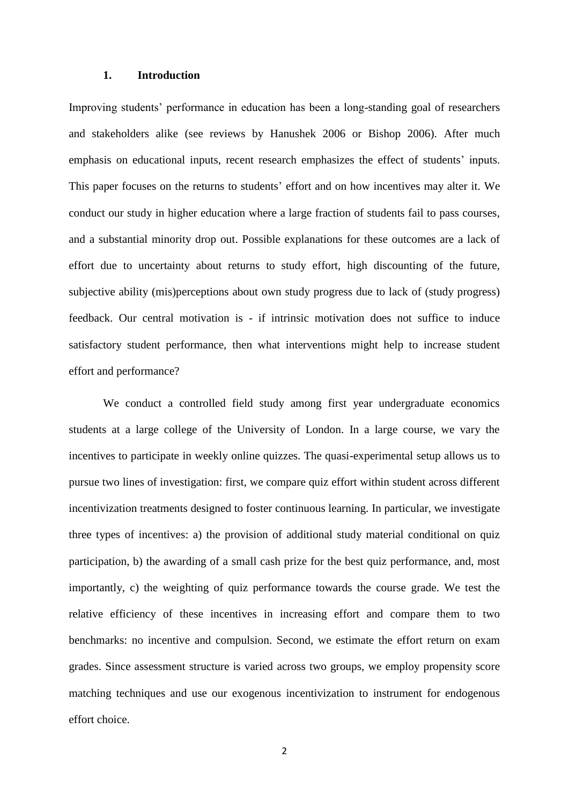#### **1. Introduction**

Improving students' performance in education has been a long-standing goal of researchers and stakeholders alike (see reviews by Hanushek 2006 or Bishop 2006). After much emphasis on educational inputs, recent research emphasizes the effect of students' inputs. This paper focuses on the returns to students' effort and on how incentives may alter it. We conduct our study in higher education where a large fraction of students fail to pass courses, and a substantial minority drop out. Possible explanations for these outcomes are a lack of effort due to uncertainty about returns to study effort, high discounting of the future, subjective ability (mis)perceptions about own study progress due to lack of (study progress) feedback. Our central motivation is - if intrinsic motivation does not suffice to induce satisfactory student performance, then what interventions might help to increase student effort and performance?

We conduct a controlled field study among first year undergraduate economics students at a large college of the University of London. In a large course, we vary the incentives to participate in weekly online quizzes. The quasi-experimental setup allows us to pursue two lines of investigation: first, we compare quiz effort within student across different incentivization treatments designed to foster continuous learning. In particular, we investigate three types of incentives: a) the provision of additional study material conditional on quiz participation, b) the awarding of a small cash prize for the best quiz performance, and, most importantly, c) the weighting of quiz performance towards the course grade. We test the relative efficiency of these incentives in increasing effort and compare them to two benchmarks: no incentive and compulsion. Second, we estimate the effort return on exam grades. Since assessment structure is varied across two groups, we employ propensity score matching techniques and use our exogenous incentivization to instrument for endogenous effort choice.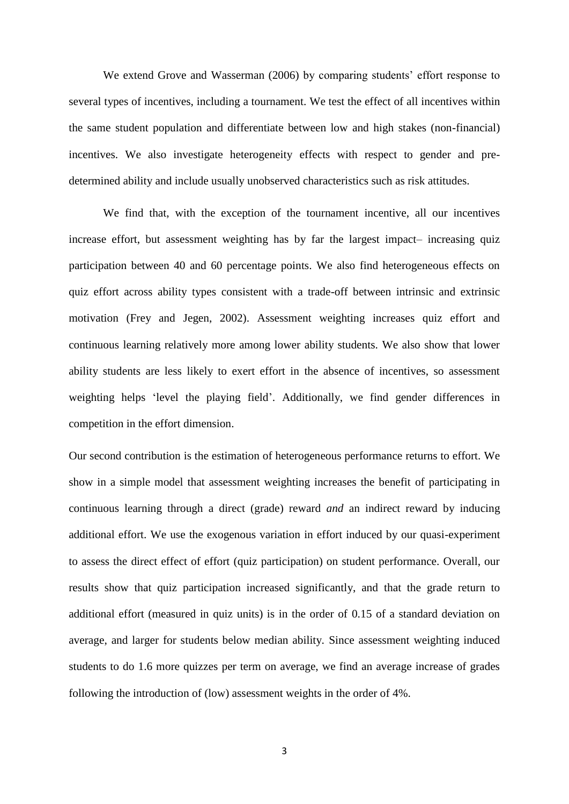We extend Grove and Wasserman (2006) by comparing students' effort response to several types of incentives, including a tournament. We test the effect of all incentives within the same student population and differentiate between low and high stakes (non-financial) incentives. We also investigate heterogeneity effects with respect to gender and predetermined ability and include usually unobserved characteristics such as risk attitudes.

We find that, with the exception of the tournament incentive, all our incentives increase effort, but assessment weighting has by far the largest impact– increasing quiz participation between 40 and 60 percentage points. We also find heterogeneous effects on quiz effort across ability types consistent with a trade-off between intrinsic and extrinsic motivation (Frey and Jegen, 2002). Assessment weighting increases quiz effort and continuous learning relatively more among lower ability students. We also show that lower ability students are less likely to exert effort in the absence of incentives, so assessment weighting helps 'level the playing field'. Additionally, we find gender differences in competition in the effort dimension.

Our second contribution is the estimation of heterogeneous performance returns to effort. We show in a simple model that assessment weighting increases the benefit of participating in continuous learning through a direct (grade) reward *and* an indirect reward by inducing additional effort. We use the exogenous variation in effort induced by our quasi-experiment to assess the direct effect of effort (quiz participation) on student performance. Overall, our results show that quiz participation increased significantly, and that the grade return to additional effort (measured in quiz units) is in the order of 0.15 of a standard deviation on average, and larger for students below median ability. Since assessment weighting induced students to do 1.6 more quizzes per term on average, we find an average increase of grades following the introduction of (low) assessment weights in the order of 4%.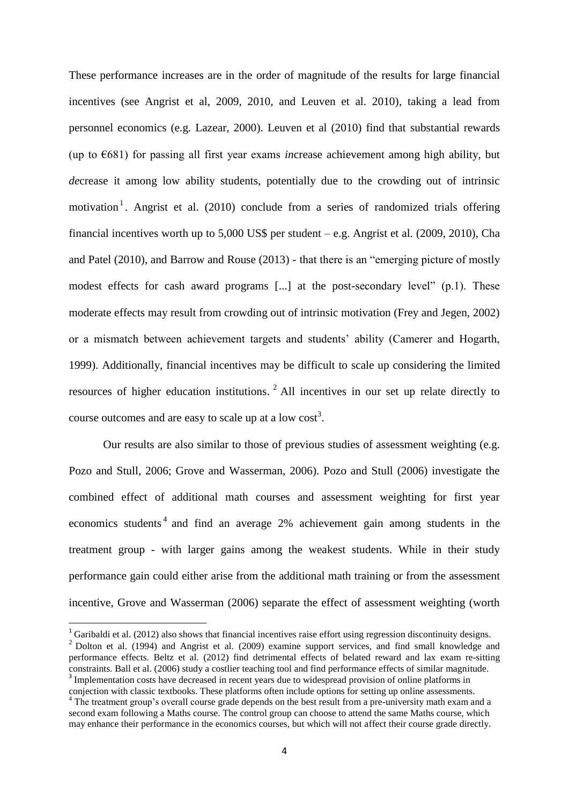These performance increases are in the order of magnitude of the results for large financial incentives (see Angrist et al, 2009, 2010, and Leuven et al. 2010), taking a lead from personnel economics (e.g. Lazear, 2000). Leuven et al (2010) find that substantial rewards (up to €681) for passing all first year exams *in*crease achievement among high ability, but *de*crease it among low ability students, potentially due to the crowding out of intrinsic motivation<sup>1</sup>. Angrist et al. (2010) conclude from a series of randomized trials offering financial incentives worth up to  $5,000$  US\$ per student – e.g. Angrist et al. (2009, 2010), Cha and Patel (2010), and Barrow and Rouse (2013) - that there is an "emerging picture of mostly modest effects for cash award programs [...] at the post-secondary level" (p.1). These moderate effects may result from crowding out of intrinsic motivation (Frey and Jegen, 2002) or a mismatch between achievement targets and students' ability (Camerer and Hogarth, 1999). Additionally, financial incentives may be difficult to scale up considering the limited resources of higher education institutions.  $2$  All incentives in our set up relate directly to course outcomes and are easy to scale up at a low  $cost<sup>3</sup>$ .

Our results are also similar to those of previous studies of assessment weighting (e.g. Pozo and Stull, 2006; Grove and Wasserman, 2006). Pozo and Stull (2006) investigate the combined effect of additional math courses and assessment weighting for first year economics students<sup>4</sup> and find an average 2% achievement gain among students in the treatment group - with larger gains among the weakest students. While in their study performance gain could either arise from the additional math training or from the assessment incentive, Grove and Wasserman (2006) separate the effect of assessment weighting (worth

1

<sup>&</sup>lt;sup>1</sup> Garibaldi et al. (2012) also shows that financial incentives raise effort using regression discontinuity designs.

<sup>2</sup> Dolton et al. (1994) and Angrist et al. (2009) examine support services, and find small knowledge and performance effects. Beltz et al. (2012) find detrimental effects of belated reward and lax exam re-sitting constraints. Ball et al. (2006) study a costlier teaching tool and find performance effects of similar magnitude. <sup>3</sup> Implementation costs have decreased in recent years due to widespread provision of online platforms in

conjection with classic textbooks. These platforms often include options for setting up online assessments. <sup>4</sup> The treatment group's overall course grade depends on the best result from a pre-university math exam and a second exam following a Maths course. The control group can choose to attend the same Maths course, which may enhance their performance in the economics courses, but which will not affect their course grade directly.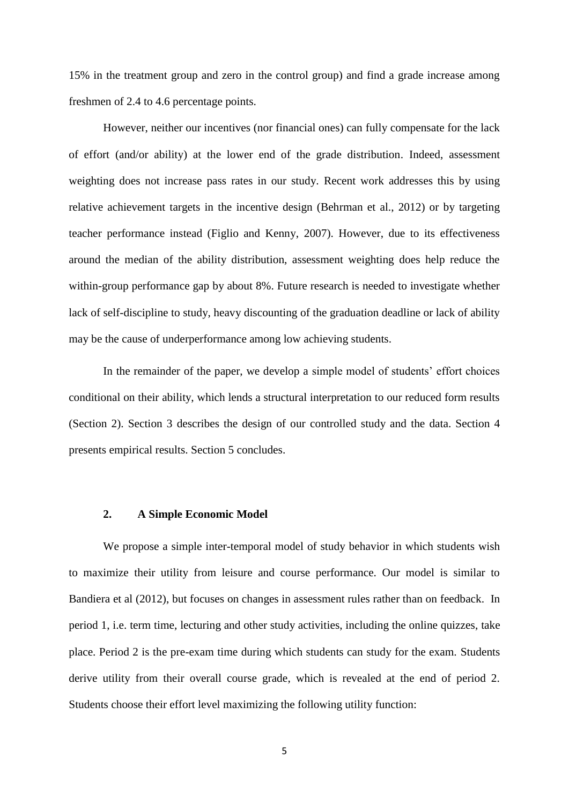15% in the treatment group and zero in the control group) and find a grade increase among freshmen of 2.4 to 4.6 percentage points.

However, neither our incentives (nor financial ones) can fully compensate for the lack of effort (and/or ability) at the lower end of the grade distribution. Indeed, assessment weighting does not increase pass rates in our study. Recent work addresses this by using relative achievement targets in the incentive design (Behrman et al., 2012) or by targeting teacher performance instead (Figlio and Kenny, 2007). However, due to its effectiveness around the median of the ability distribution, assessment weighting does help reduce the within-group performance gap by about 8%. Future research is needed to investigate whether lack of self-discipline to study, heavy discounting of the graduation deadline or lack of ability may be the cause of underperformance among low achieving students.

In the remainder of the paper, we develop a simple model of students' effort choices conditional on their ability, which lends a structural interpretation to our reduced form results (Section 2). Section 3 describes the design of our controlled study and the data. Section 4 presents empirical results. Section 5 concludes.

#### **2. A Simple Economic Model**

We propose a simple inter-temporal model of study behavior in which students wish to maximize their utility from leisure and course performance. Our model is similar to Bandiera et al (2012), but focuses on changes in assessment rules rather than on feedback. In period 1, i.e. term time, lecturing and other study activities, including the online quizzes, take place. Period 2 is the pre-exam time during which students can study for the exam. Students derive utility from their overall course grade, which is revealed at the end of period 2. Students choose their effort level maximizing the following utility function: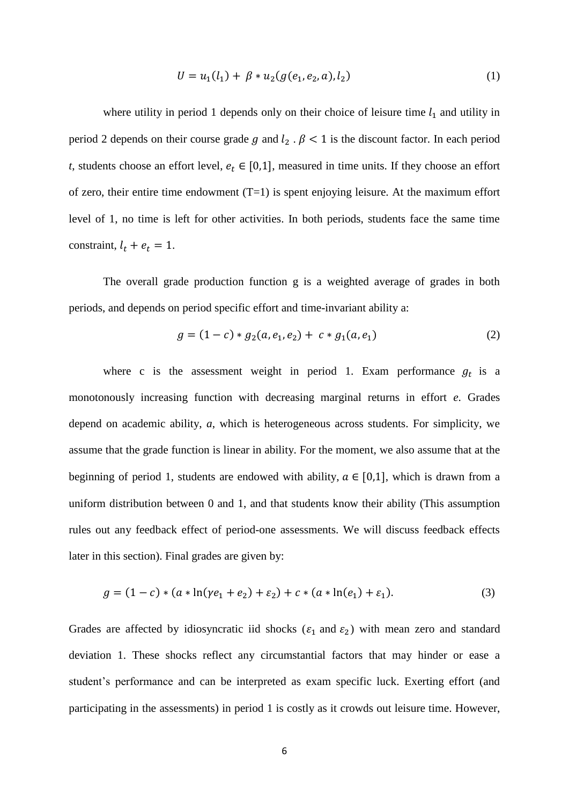$$
U = u_1(l_1) + \beta * u_2(g(e_1, e_2, a), l_2)
$$
\n(1)

where utility in period 1 depends only on their choice of leisure time  $l_1$  and utility in period 2 depends on their course grade g and  $l_2$ .  $\beta$  < 1 is the discount factor. In each period *t*, students choose an effort level,  $e_t \in [0,1]$ , measured in time units. If they choose an effort of zero, their entire time endowment  $(T=1)$  is spent enjoying leisure. At the maximum effort level of 1, no time is left for other activities. In both periods, students face the same time constraint,  $l_t + e_t = 1$ .

The overall grade production function g is a weighted average of grades in both periods, and depends on period specific effort and time-invariant ability a:

$$
g = (1 - c) * g_2(a, e_1, e_2) + c * g_1(a, e_1)
$$
 (2)

where c is the assessment weight in period 1. Exam performance  $g_t$  is a monotonously increasing function with decreasing marginal returns in effort *e*. Grades depend on academic ability, *a*, which is heterogeneous across students. For simplicity, we assume that the grade function is linear in ability. For the moment, we also assume that at the beginning of period 1, students are endowed with ability,  $a \in [0,1]$ , which is drawn from a uniform distribution between 0 and 1, and that students know their ability (This assumption rules out any feedback effect of period-one assessments. We will discuss feedback effects later in this section). Final grades are given by:

$$
g = (1 - c) * (a * \ln(\gamma e_1 + e_2) + \varepsilon_2) + c * (a * \ln(e_1) + \varepsilon_1). \tag{3}
$$

Grades are affected by idiosyncratic iid shocks ( $\varepsilon_1$  and  $\varepsilon_2$ ) with mean zero and standard deviation 1. These shocks reflect any circumstantial factors that may hinder or ease a student's performance and can be interpreted as exam specific luck. Exerting effort (and participating in the assessments) in period 1 is costly as it crowds out leisure time. However,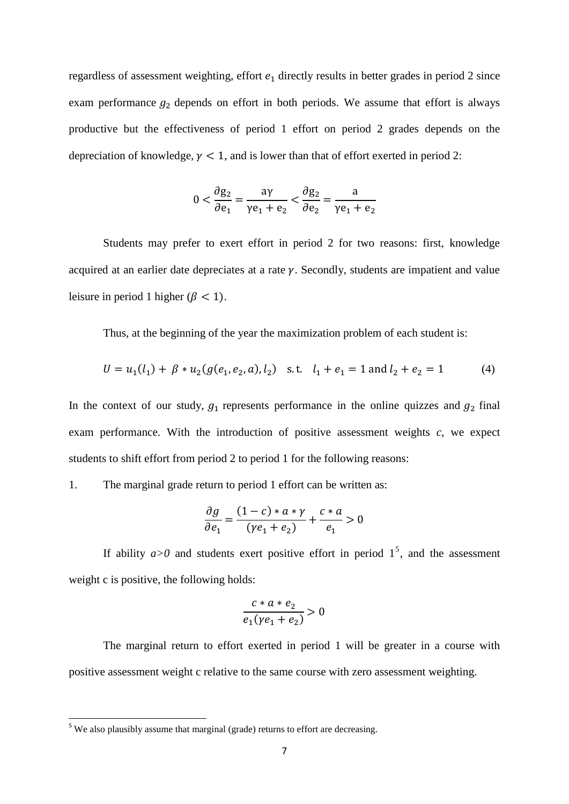regardless of assessment weighting, effort  $e_1$  directly results in better grades in period 2 since exam performance  $g_2$  depends on effort in both periods. We assume that effort is always productive but the effectiveness of period 1 effort on period 2 grades depends on the depreciation of knowledge,  $\gamma$  < 1, and is lower than that of effort exerted in period 2:

$$
0 < \frac{\partial g_2}{\partial e_1} = \frac{a\gamma}{\gamma e_1 + e_2} < \frac{\partial g_2}{\partial e_2} = \frac{a}{\gamma e_1 + e_2}
$$

Students may prefer to exert effort in period 2 for two reasons: first, knowledge acquired at an earlier date depreciates at a rate  $\gamma$ . Secondly, students are impatient and value leisure in period 1 higher ( $\beta$  < 1).

Thus, at the beginning of the year the maximization problem of each student is:

$$
U = u_1(l_1) + \beta * u_2(g(e_1, e_2, a), l_2) \text{ s.t. } l_1 + e_1 = 1 \text{ and } l_2 + e_2 = 1 \tag{4}
$$

In the context of our study,  $g_1$  represents performance in the online quizzes and  $g_2$  final exam performance. With the introduction of positive assessment weights *c*, we expect students to shift effort from period 2 to period 1 for the following reasons:

1. The marginal grade return to period 1 effort can be written as:

$$
\frac{\partial g}{\partial e_1} = \frac{(1-c) * a * \gamma}{(\gamma e_1 + e_2)} + \frac{c * a}{e_1} > 0
$$

If ability  $a > 0$  and students exert positive effort in period  $1<sup>5</sup>$ , and the assessment weight c is positive, the following holds:

$$
\frac{c*a*e_2}{e_1(\gamma e_1+e_2)}>0
$$

The marginal return to effort exerted in period 1 will be greater in a course with positive assessment weight c relative to the same course with zero assessment weighting.

 $5$  We also plausibly assume that marginal (grade) returns to effort are decreasing.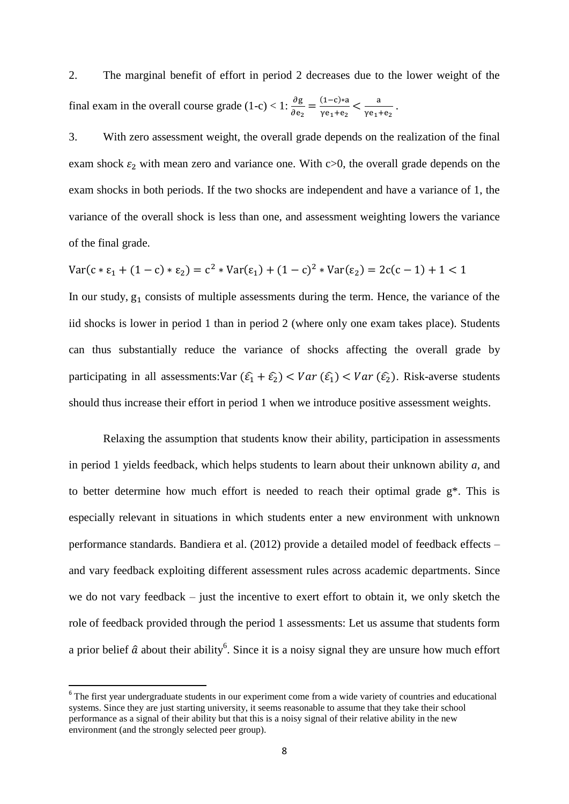2. The marginal benefit of effort in period 2 decreases due to the lower weight of the final exam in the overall course grade (1-c) < 1:  $\frac{\partial g}{\partial e_2} = \frac{(1-c)*a}{\gamma e_1 + e_2}$  $\frac{(1-c)*a}{\gamma e_1+e_2} < \frac{a}{\gamma e_1}$  $\frac{a}{\gamma e_1 + e_2}$ .

3. With zero assessment weight, the overall grade depends on the realization of the final exam shock  $\varepsilon_2$  with mean zero and variance one. With c>0, the overall grade depends on the exam shocks in both periods. If the two shocks are independent and have a variance of 1, the variance of the overall shock is less than one, and assessment weighting lowers the variance of the final grade.

$$
Var(c * \varepsilon_1 + (1 - c) * \varepsilon_2) = c^2 * Var(\varepsilon_1) + (1 - c)^2 * Var(\varepsilon_2) = 2c(c - 1) + 1 < 1
$$

In our study,  $g_1$  consists of multiple assessments during the term. Hence, the variance of the iid shocks is lower in period 1 than in period 2 (where only one exam takes place). Students can thus substantially reduce the variance of shocks affecting the overall grade by participating in all assessments:Var  $(\hat{\epsilon}_1 + \hat{\epsilon}_2) < Var(\hat{\epsilon}_1) < Var(\hat{\epsilon}_2)$ . Risk-averse students should thus increase their effort in period 1 when we introduce positive assessment weights.

Relaxing the assumption that students know their ability, participation in assessments in period 1 yields feedback, which helps students to learn about their unknown ability *a,* and to better determine how much effort is needed to reach their optimal grade g\*. This is especially relevant in situations in which students enter a new environment with unknown performance standards. Bandiera et al. (2012) provide a detailed model of feedback effects – and vary feedback exploiting different assessment rules across academic departments. Since we do not vary feedback – just the incentive to exert effort to obtain it, we only sketch the role of feedback provided through the period 1 assessments: Let us assume that students form a prior belief  $\hat{a}$  about their ability<sup>6</sup>. Since it is a noisy signal they are unsure how much effort

<sup>&</sup>lt;sup>6</sup> The first year undergraduate students in our experiment come from a wide variety of countries and educational systems. Since they are just starting university, it seems reasonable to assume that they take their school performance as a signal of their ability but that this is a noisy signal of their relative ability in the new environment (and the strongly selected peer group).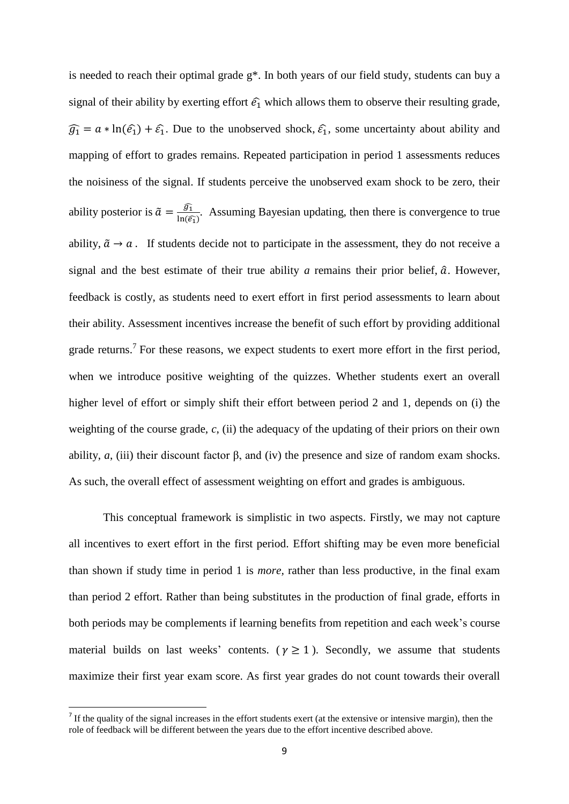is needed to reach their optimal grade g\*. In both years of our field study, students can buy a signal of their ability by exerting effort  $\hat{\epsilon}_1$  which allows them to observe their resulting grade,  $\widehat{g}_1 = a * \ln(\widehat{e}_1) + \widehat{e}_1$ . Due to the unobserved shock,  $\widehat{e}_1$ , some uncertainty about ability and mapping of effort to grades remains. Repeated participation in period 1 assessments reduces the noisiness of the signal. If students perceive the unobserved exam shock to be zero, their ability posterior is  $\tilde{a} = \frac{\widehat{g_1}}{\ln \widehat{a}}$  $\frac{y_1}{\ln(\widehat{\epsilon_1})}$ . Assuming Bayesian updating, then there is convergence to true ability,  $\tilde{a} \rightarrow a$ . If students decide not to participate in the assessment, they do not receive a signal and the best estimate of their true ability  $a$  remains their prior belief,  $\hat{a}$ . However, feedback is costly, as students need to exert effort in first period assessments to learn about their ability. Assessment incentives increase the benefit of such effort by providing additional grade returns.<sup>7</sup> For these reasons, we expect students to exert more effort in the first period, when we introduce positive weighting of the quizzes. Whether students exert an overall higher level of effort or simply shift their effort between period 2 and 1, depends on (i) the weighting of the course grade,  $c$ , (ii) the adequacy of the updating of their priors on their own ability, *a*, (iii) their discount factor β, and (iv) the presence and size of random exam shocks. As such, the overall effect of assessment weighting on effort and grades is ambiguous.

This conceptual framework is simplistic in two aspects. Firstly, we may not capture all incentives to exert effort in the first period. Effort shifting may be even more beneficial than shown if study time in period 1 is *more,* rather than less productive, in the final exam than period 2 effort. Rather than being substitutes in the production of final grade, efforts in both periods may be complements if learning benefits from repetition and each week's course material builds on last weeks' contents. ( $\gamma \ge 1$ ). Secondly, we assume that students maximize their first year exam score. As first year grades do not count towards their overall

If the quality of the signal increases in the effort students exert (at the extensive or intensive margin), then the role of feedback will be different between the years due to the effort incentive described above.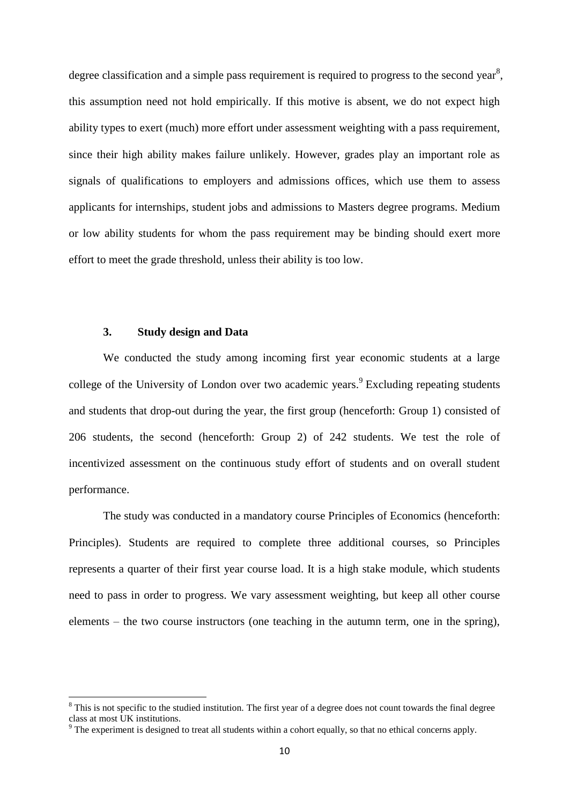degree classification and a simple pass requirement is required to progress to the second year<sup>8</sup>, this assumption need not hold empirically. If this motive is absent, we do not expect high ability types to exert (much) more effort under assessment weighting with a pass requirement, since their high ability makes failure unlikely. However, grades play an important role as signals of qualifications to employers and admissions offices, which use them to assess applicants for internships, student jobs and admissions to Masters degree programs. Medium or low ability students for whom the pass requirement may be binding should exert more effort to meet the grade threshold, unless their ability is too low.

#### **3. Study design and Data**

1

We conducted the study among incoming first year economic students at a large college of the University of London over two academic years.<sup>9</sup> Excluding repeating students and students that drop-out during the year, the first group (henceforth: Group 1) consisted of 206 students, the second (henceforth: Group 2) of 242 students. We test the role of incentivized assessment on the continuous study effort of students and on overall student performance.

The study was conducted in a mandatory course Principles of Economics (henceforth: Principles). Students are required to complete three additional courses, so Principles represents a quarter of their first year course load. It is a high stake module, which students need to pass in order to progress. We vary assessment weighting, but keep all other course elements – the two course instructors (one teaching in the autumn term, one in the spring),

 $8$  This is not specific to the studied institution. The first year of a degree does not count towards the final degree class at most UK institutions.

 $9$  The experiment is designed to treat all students within a cohort equally, so that no ethical concerns apply.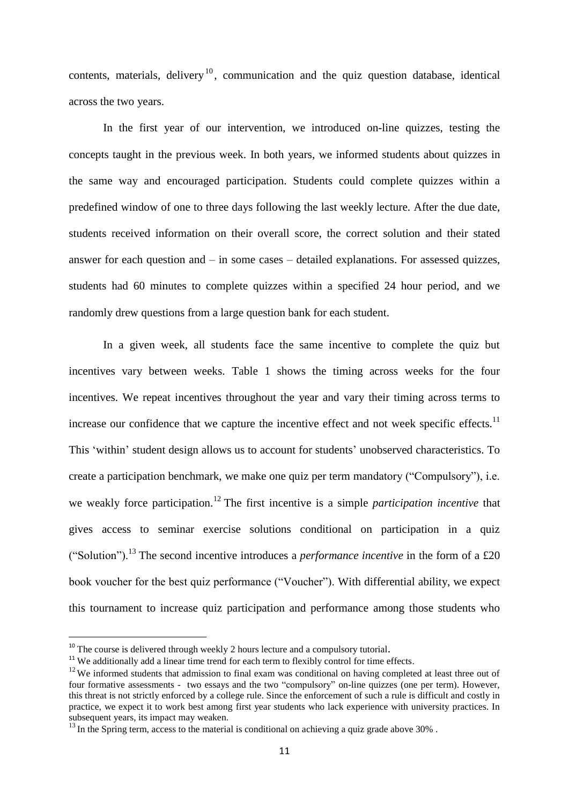contents, materials, delivery<sup>10</sup>, communication and the quiz question database, identical across the two years.

In the first year of our intervention, we introduced on-line quizzes, testing the concepts taught in the previous week. In both years, we informed students about quizzes in the same way and encouraged participation. Students could complete quizzes within a predefined window of one to three days following the last weekly lecture. After the due date, students received information on their overall score, the correct solution and their stated answer for each question and – in some cases – detailed explanations. For assessed quizzes, students had 60 minutes to complete quizzes within a specified 24 hour period, and we randomly drew questions from a large question bank for each student.

In a given week, all students face the same incentive to complete the quiz but incentives vary between weeks. Table 1 shows the timing across weeks for the four incentives. We repeat incentives throughout the year and vary their timing across terms to increase our confidence that we capture the incentive effect and not week specific effects.<sup>11</sup> This 'within' student design allows us to account for students' unobserved characteristics. To create a participation benchmark, we make one quiz per term mandatory ("Compulsory"), i.e. we weakly force participation.<sup>12</sup> The first incentive is a simple *participation incentive* that gives access to seminar exercise solutions conditional on participation in a quiz ("Solution").<sup>13</sup> The second incentive introduces a *performance incentive* in the form of a £20 book voucher for the best quiz performance ("Voucher"). With differential ability, we expect this tournament to increase quiz participation and performance among those students who

 $\overline{a}$ 

<sup>&</sup>lt;sup>10</sup> The course is delivered through weekly 2 hours lecture and a compulsory tutorial.

 $11$  We additionally add a linear time trend for each term to flexibly control for time effects.

 $12$  We informed students that admission to final exam was conditional on having completed at least three out of four formative assessments - two essays and the two "compulsory" on-line quizzes (one per term). However, this threat is not strictly enforced by a college rule. Since the enforcement of such a rule is difficult and costly in practice, we expect it to work best among first year students who lack experience with university practices. In subsequent years, its impact may weaken.

 $^{13}$  In the Spring term, access to the material is conditional on achieving a quiz grade above 30%.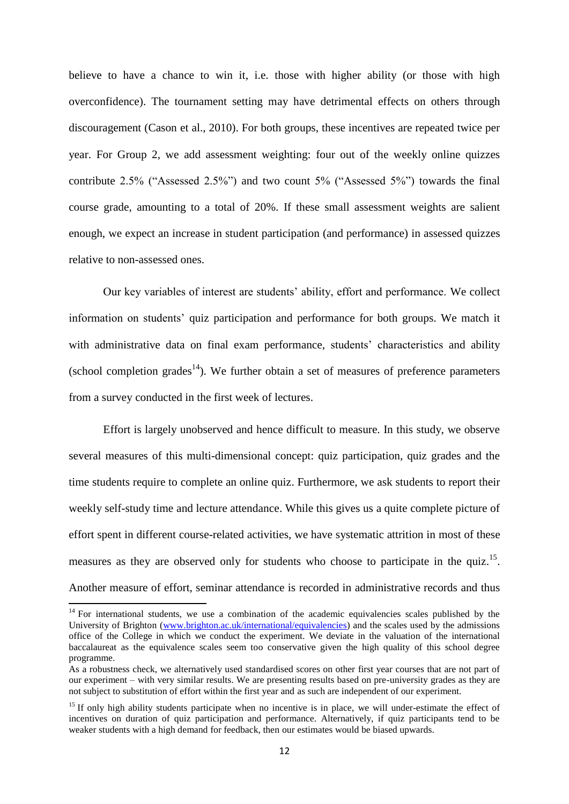believe to have a chance to win it, i.e. those with higher ability (or those with high overconfidence). The tournament setting may have detrimental effects on others through discouragement (Cason et al., 2010). For both groups, these incentives are repeated twice per year. For Group 2, we add assessment weighting: four out of the weekly online quizzes contribute 2.5% ("Assessed 2.5%") and two count 5% ("Assessed 5%") towards the final course grade, amounting to a total of 20%. If these small assessment weights are salient enough, we expect an increase in student participation (and performance) in assessed quizzes relative to non-assessed ones.

Our key variables of interest are students' ability, effort and performance. We collect information on students' quiz participation and performance for both groups. We match it with administrative data on final exam performance, students' characteristics and ability (school completion grades<sup>14</sup>). We further obtain a set of measures of preference parameters from a survey conducted in the first week of lectures.

Effort is largely unobserved and hence difficult to measure. In this study, we observe several measures of this multi-dimensional concept: quiz participation, quiz grades and the time students require to complete an online quiz. Furthermore, we ask students to report their weekly self-study time and lecture attendance. While this gives us a quite complete picture of effort spent in different course-related activities, we have systematic attrition in most of these measures as they are observed only for students who choose to participate in the quiz.<sup>15</sup>. Another measure of effort, seminar attendance is recorded in administrative records and thus

 $14$  For international students, we use a combination of the academic equivalencies scales published by the University of Brighton [\(www.brighton.ac.uk/international/equivalencies\)](http://www.brighton.ac.uk/international/equivalencies) and the scales used by the admissions office of the College in which we conduct the experiment*.* We deviate in the valuation of the international baccalaureat as the equivalence scales seem too conservative given the high quality of this school degree programme.

As a robustness check, we alternatively used standardised scores on other first year courses that are not part of our experiment – with very similar results. We are presenting results based on pre-university grades as they are not subject to substitution of effort within the first year and as such are independent of our experiment.

<sup>&</sup>lt;sup>15</sup> If only high ability students participate when no incentive is in place, we will under-estimate the effect of incentives on duration of quiz participation and performance. Alternatively, if quiz participants tend to be weaker students with a high demand for feedback, then our estimates would be biased upwards.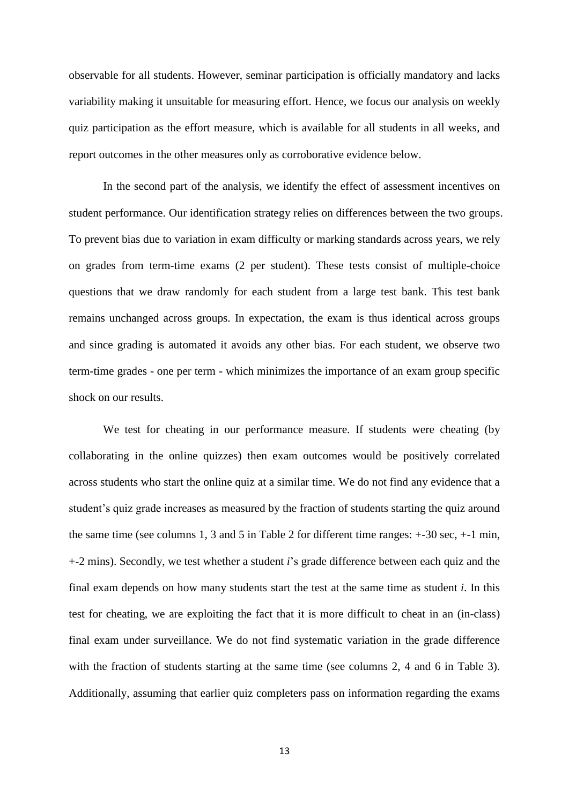observable for all students. However, seminar participation is officially mandatory and lacks variability making it unsuitable for measuring effort. Hence, we focus our analysis on weekly quiz participation as the effort measure, which is available for all students in all weeks, and report outcomes in the other measures only as corroborative evidence below.

In the second part of the analysis, we identify the effect of assessment incentives on student performance. Our identification strategy relies on differences between the two groups. To prevent bias due to variation in exam difficulty or marking standards across years, we rely on grades from term-time exams (2 per student). These tests consist of multiple-choice questions that we draw randomly for each student from a large test bank. This test bank remains unchanged across groups. In expectation, the exam is thus identical across groups and since grading is automated it avoids any other bias. For each student, we observe two term-time grades - one per term - which minimizes the importance of an exam group specific shock on our results.

We test for cheating in our performance measure. If students were cheating (by collaborating in the online quizzes) then exam outcomes would be positively correlated across students who start the online quiz at a similar time. We do not find any evidence that a student's quiz grade increases as measured by the fraction of students starting the quiz around the same time (see columns 1, 3 and 5 in Table 2 for different time ranges: +-30 sec, +-1 min, +-2 mins). Secondly, we test whether a student *i*'s grade difference between each quiz and the final exam depends on how many students start the test at the same time as student *i*. In this test for cheating, we are exploiting the fact that it is more difficult to cheat in an (in-class) final exam under surveillance. We do not find systematic variation in the grade difference with the fraction of students starting at the same time (see columns 2, 4 and 6 in Table 3). Additionally, assuming that earlier quiz completers pass on information regarding the exams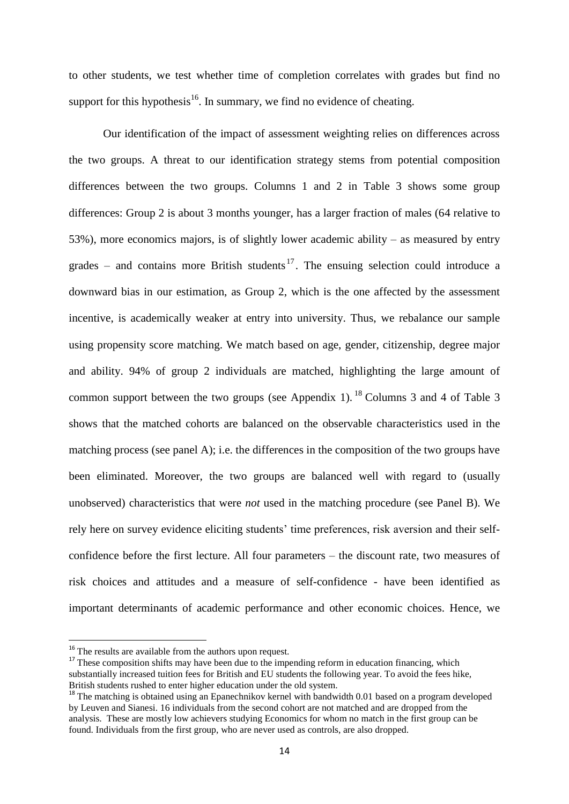to other students, we test whether time of completion correlates with grades but find no support for this hypothesis<sup>16</sup>. In summary, we find no evidence of cheating.

Our identification of the impact of assessment weighting relies on differences across the two groups. A threat to our identification strategy stems from potential composition differences between the two groups. Columns 1 and 2 in Table 3 shows some group differences: Group 2 is about 3 months younger, has a larger fraction of males (64 relative to 53%), more economics majors, is of slightly lower academic ability – as measured by entry grades – and contains more British students<sup>17</sup>. The ensuing selection could introduce a downward bias in our estimation, as Group 2, which is the one affected by the assessment incentive, is academically weaker at entry into university. Thus, we rebalance our sample using propensity score matching. We match based on age, gender, citizenship, degree major and ability. 94% of group 2 individuals are matched, highlighting the large amount of common support between the two groups (see Appendix 1).<sup>18</sup> Columns 3 and 4 of Table 3 shows that the matched cohorts are balanced on the observable characteristics used in the matching process (see panel A); i.e. the differences in the composition of the two groups have been eliminated. Moreover, the two groups are balanced well with regard to (usually unobserved) characteristics that were *not* used in the matching procedure (see Panel B). We rely here on survey evidence eliciting students' time preferences, risk aversion and their selfconfidence before the first lecture. All four parameters – the discount rate, two measures of risk choices and attitudes and a measure of self-confidence - have been identified as important determinants of academic performance and other economic choices. Hence, we

1

<sup>&</sup>lt;sup>16</sup> The results are available from the authors upon request.

<sup>&</sup>lt;sup>17</sup> These composition shifts may have been due to the impending reform in education financing, which substantially increased tuition fees for British and EU students the following year. To avoid the fees hike, British students rushed to enter higher education under the old system.

<sup>&</sup>lt;sup>18</sup> The matching is obtained using an Epanechnikov kernel with bandwidth 0.01 based on a program developed by Leuven and Sianesi. 16 individuals from the second cohort are not matched and are dropped from the analysis. These are mostly low achievers studying Economics for whom no match in the first group can be found. Individuals from the first group, who are never used as controls, are also dropped.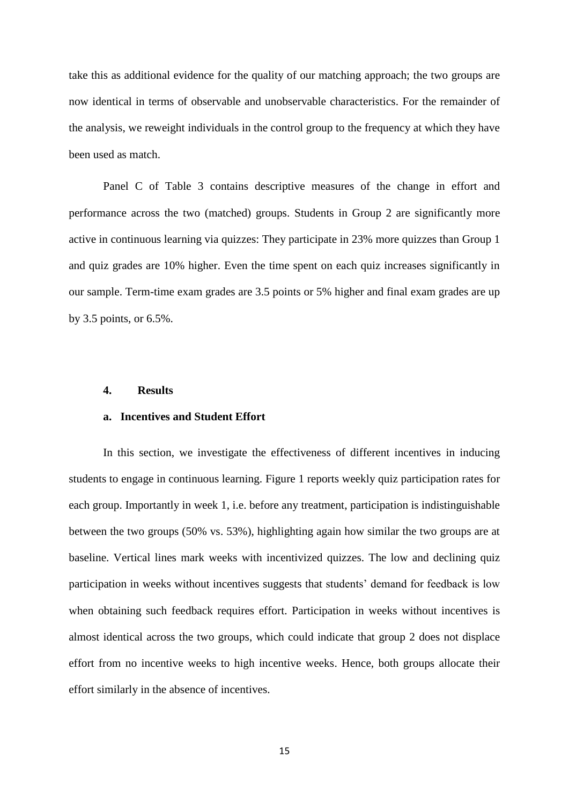take this as additional evidence for the quality of our matching approach; the two groups are now identical in terms of observable and unobservable characteristics. For the remainder of the analysis, we reweight individuals in the control group to the frequency at which they have been used as match.

Panel C of Table 3 contains descriptive measures of the change in effort and performance across the two (matched) groups. Students in Group 2 are significantly more active in continuous learning via quizzes: They participate in 23% more quizzes than Group 1 and quiz grades are 10% higher. Even the time spent on each quiz increases significantly in our sample. Term-time exam grades are 3.5 points or 5% higher and final exam grades are up by 3.5 points, or 6.5%.

#### **4. Results**

#### **a. Incentives and Student Effort**

In this section, we investigate the effectiveness of different incentives in inducing students to engage in continuous learning. Figure 1 reports weekly quiz participation rates for each group. Importantly in week 1, i.e. before any treatment, participation is indistinguishable between the two groups (50% vs. 53%), highlighting again how similar the two groups are at baseline. Vertical lines mark weeks with incentivized quizzes. The low and declining quiz participation in weeks without incentives suggests that students' demand for feedback is low when obtaining such feedback requires effort. Participation in weeks without incentives is almost identical across the two groups, which could indicate that group 2 does not displace effort from no incentive weeks to high incentive weeks. Hence, both groups allocate their effort similarly in the absence of incentives.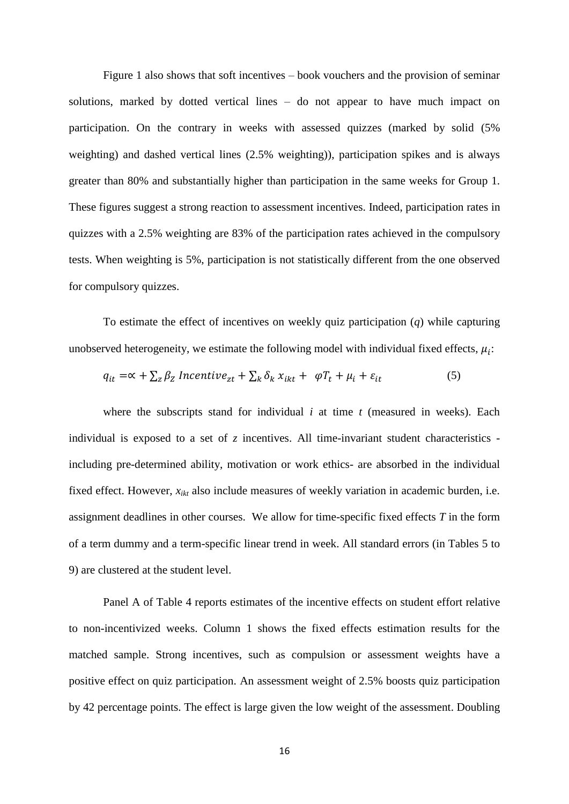Figure 1 also shows that soft incentives – book vouchers and the provision of seminar solutions, marked by dotted vertical lines – do not appear to have much impact on participation. On the contrary in weeks with assessed quizzes (marked by solid (5% weighting) and dashed vertical lines (2.5% weighting)), participation spikes and is always greater than 80% and substantially higher than participation in the same weeks for Group 1. These figures suggest a strong reaction to assessment incentives. Indeed, participation rates in quizzes with a 2.5% weighting are 83% of the participation rates achieved in the compulsory tests. When weighting is 5%, participation is not statistically different from the one observed for compulsory quizzes.

To estimate the effect of incentives on weekly quiz participation (*q*) while capturing unobserved heterogeneity, we estimate the following model with individual fixed effects,  $\mu_i$ :

$$
q_{it} = \alpha + \sum_{z} \beta_{z} \text{ Incentive}_{zt} + \sum_{k} \delta_{k} x_{ikt} + \varphi T_{t} + \mu_{i} + \varepsilon_{it}
$$
(5)

where the subscripts stand for individual *i* at time *t* (measured in weeks). Each individual is exposed to a set of  $z$  incentives. All time-invariant student characteristics including pre-determined ability, motivation or work ethics- are absorbed in the individual fixed effect. However,  $x_{ikt}$  also include measures of weekly variation in academic burden, i.e. assignment deadlines in other courses. We allow for time-specific fixed effects *T* in the form of a term dummy and a term-specific linear trend in week. All standard errors (in Tables 5 to 9) are clustered at the student level.

Panel A of Table 4 reports estimates of the incentive effects on student effort relative to non-incentivized weeks. Column 1 shows the fixed effects estimation results for the matched sample. Strong incentives, such as compulsion or assessment weights have a positive effect on quiz participation. An assessment weight of 2.5% boosts quiz participation by 42 percentage points. The effect is large given the low weight of the assessment. Doubling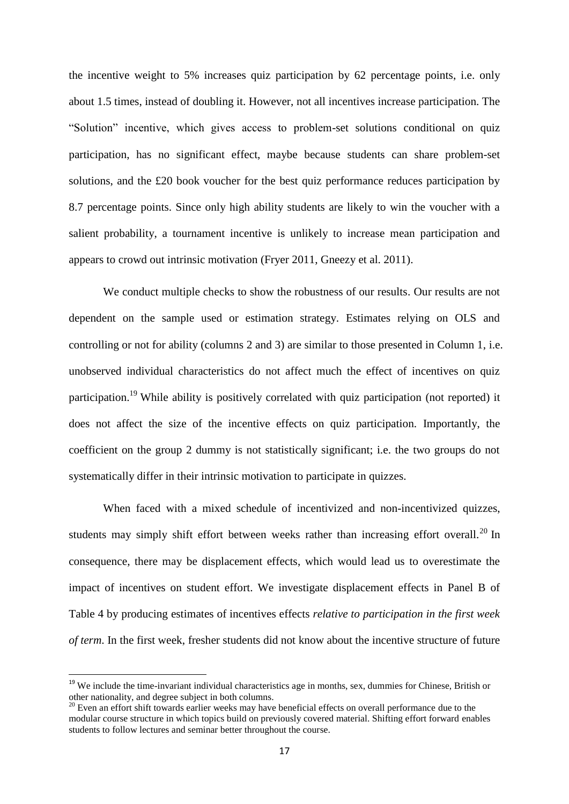the incentive weight to 5% increases quiz participation by 62 percentage points, i.e. only about 1.5 times, instead of doubling it. However, not all incentives increase participation. The "Solution" incentive, which gives access to problem-set solutions conditional on quiz participation, has no significant effect, maybe because students can share problem-set solutions, and the £20 book voucher for the best quiz performance reduces participation by 8.7 percentage points. Since only high ability students are likely to win the voucher with a salient probability, a tournament incentive is unlikely to increase mean participation and appears to crowd out intrinsic motivation (Fryer 2011, Gneezy et al. 2011).

We conduct multiple checks to show the robustness of our results. Our results are not dependent on the sample used or estimation strategy. Estimates relying on OLS and controlling or not for ability (columns 2 and 3) are similar to those presented in Column 1, i.e. unobserved individual characteristics do not affect much the effect of incentives on quiz participation.<sup>19</sup> While ability is positively correlated with quiz participation (not reported) it does not affect the size of the incentive effects on quiz participation. Importantly, the coefficient on the group 2 dummy is not statistically significant; i.e. the two groups do not systematically differ in their intrinsic motivation to participate in quizzes.

When faced with a mixed schedule of incentivized and non-incentivized quizzes, students may simply shift effort between weeks rather than increasing effort overall.<sup>20</sup> In consequence, there may be displacement effects, which would lead us to overestimate the impact of incentives on student effort. We investigate displacement effects in Panel B of Table 4 by producing estimates of incentives effects *relative to participation in the first week of term*. In the first week, fresher students did not know about the incentive structure of future

1

<sup>&</sup>lt;sup>19</sup> We include the time-invariant individual characteristics age in months, sex, dummies for Chinese, British or other nationality, and degree subject in both columns.

<sup>&</sup>lt;sup>20</sup> Even an effort shift towards earlier weeks may have beneficial effects on overall performance due to the modular course structure in which topics build on previously covered material. Shifting effort forward enables students to follow lectures and seminar better throughout the course.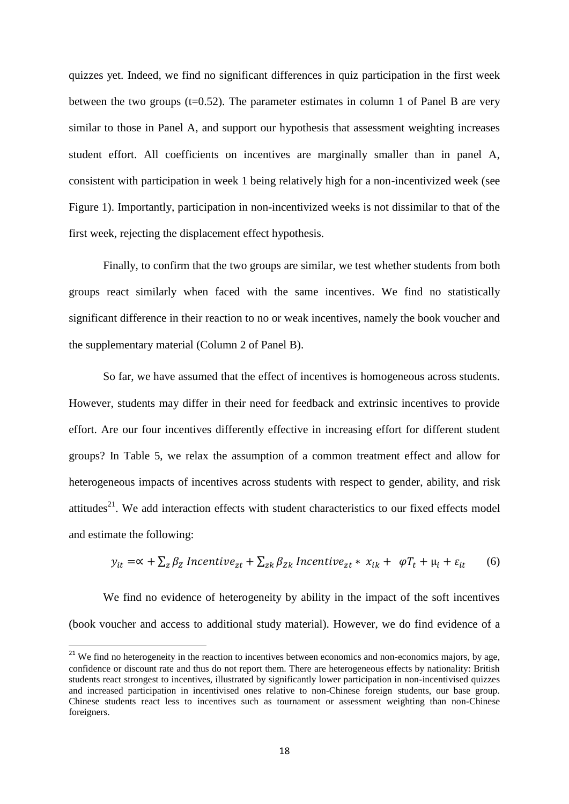quizzes yet. Indeed, we find no significant differences in quiz participation in the first week between the two groups  $(t=0.52)$ . The parameter estimates in column 1 of Panel B are very similar to those in Panel A, and support our hypothesis that assessment weighting increases student effort. All coefficients on incentives are marginally smaller than in panel A, consistent with participation in week 1 being relatively high for a non-incentivized week (see Figure 1). Importantly, participation in non-incentivized weeks is not dissimilar to that of the first week, rejecting the displacement effect hypothesis.

Finally, to confirm that the two groups are similar, we test whether students from both groups react similarly when faced with the same incentives. We find no statistically significant difference in their reaction to no or weak incentives, namely the book voucher and the supplementary material (Column 2 of Panel B).

So far, we have assumed that the effect of incentives is homogeneous across students. However, students may differ in their need for feedback and extrinsic incentives to provide effort. Are our four incentives differently effective in increasing effort for different student groups? In Table 5, we relax the assumption of a common treatment effect and allow for heterogeneous impacts of incentives across students with respect to gender, ability, and risk attitudes<sup>21</sup>. We add interaction effects with student characteristics to our fixed effects model and estimate the following:

$$
y_{it} = \alpha + \sum_{z} \beta_{z} \text{ Incentive}_{zt} + \sum_{zk} \beta_{Zk} \text{ Incentive}_{zt} * x_{ik} + \varphi T_{t} + \mu_{i} + \varepsilon_{it} \tag{6}
$$

We find no evidence of heterogeneity by ability in the impact of the soft incentives (book voucher and access to additional study material). However, we do find evidence of a

 $\overline{a}$ 

<sup>&</sup>lt;sup>21</sup> We find no heterogeneity in the reaction to incentives between economics and non-economics majors, by age, confidence or discount rate and thus do not report them. There are heterogeneous effects by nationality: British students react strongest to incentives, illustrated by significantly lower participation in non-incentivised quizzes and increased participation in incentivised ones relative to non-Chinese foreign students, our base group. Chinese students react less to incentives such as tournament or assessment weighting than non-Chinese foreigners.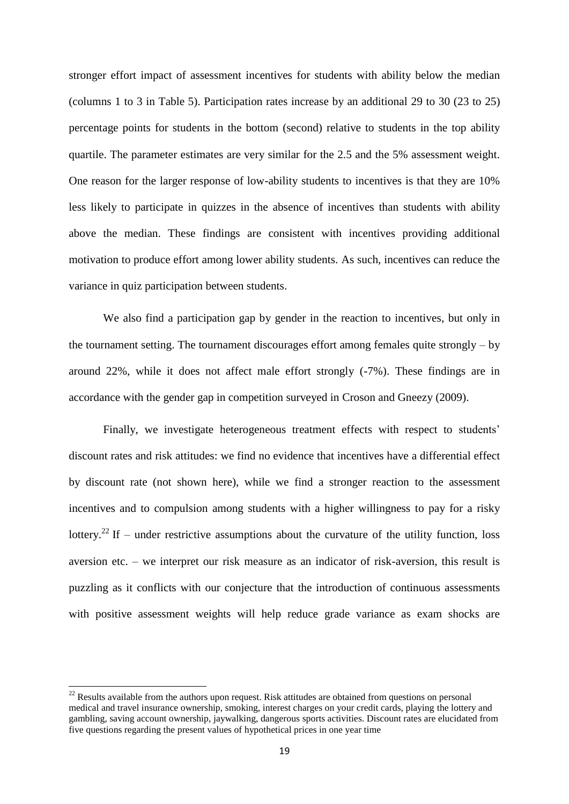stronger effort impact of assessment incentives for students with ability below the median (columns 1 to 3 in Table 5). Participation rates increase by an additional 29 to 30 (23 to 25) percentage points for students in the bottom (second) relative to students in the top ability quartile. The parameter estimates are very similar for the 2.5 and the 5% assessment weight. One reason for the larger response of low-ability students to incentives is that they are 10% less likely to participate in quizzes in the absence of incentives than students with ability above the median. These findings are consistent with incentives providing additional motivation to produce effort among lower ability students. As such, incentives can reduce the variance in quiz participation between students.

We also find a participation gap by gender in the reaction to incentives, but only in the tournament setting. The tournament discourages effort among females quite strongly – by around 22%, while it does not affect male effort strongly (-7%). These findings are in accordance with the gender gap in competition surveyed in Croson and Gneezy (2009).

Finally, we investigate heterogeneous treatment effects with respect to students' discount rates and risk attitudes: we find no evidence that incentives have a differential effect by discount rate (not shown here), while we find a stronger reaction to the assessment incentives and to compulsion among students with a higher willingness to pay for a risky lottery.<sup>22</sup> If – under restrictive assumptions about the curvature of the utility function, loss aversion etc. – we interpret our risk measure as an indicator of risk-aversion, this result is puzzling as it conflicts with our conjecture that the introduction of continuous assessments with positive assessment weights will help reduce grade variance as exam shocks are

 $^{22}$  Results available from the authors upon request. Risk attitudes are obtained from questions on personal medical and travel insurance ownership, smoking, interest charges on your credit cards, playing the lottery and gambling, saving account ownership, jaywalking, dangerous sports activities. Discount rates are elucidated from five questions regarding the present values of hypothetical prices in one year time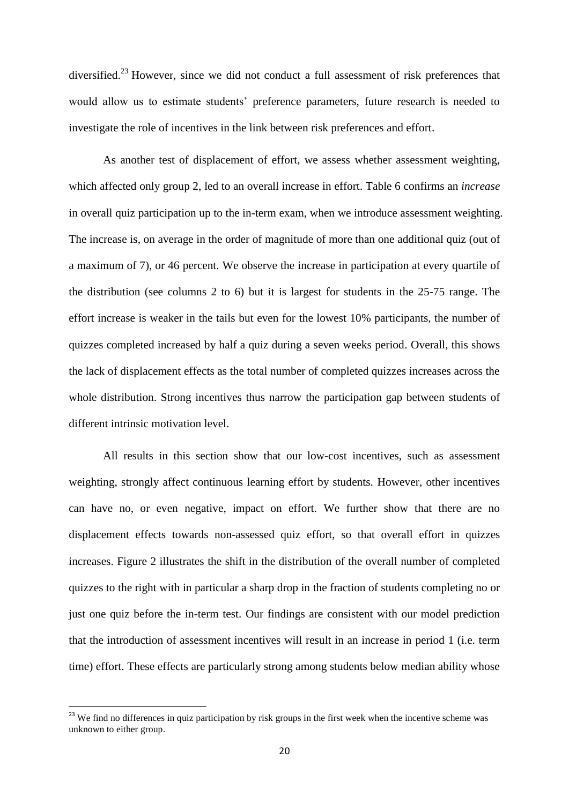diversified.<sup>23</sup> However, since we did not conduct a full assessment of risk preferences that would allow us to estimate students' preference parameters, future research is needed to investigate the role of incentives in the link between risk preferences and effort.

As another test of displacement of effort, we assess whether assessment weighting, which affected only group 2, led to an overall increase in effort. Table 6 confirms an *increase* in overall quiz participation up to the in-term exam, when we introduce assessment weighting. The increase is, on average in the order of magnitude of more than one additional quiz (out of a maximum of 7), or 46 percent. We observe the increase in participation at every quartile of the distribution (see columns 2 to 6) but it is largest for students in the 25-75 range. The effort increase is weaker in the tails but even for the lowest 10% participants, the number of quizzes completed increased by half a quiz during a seven weeks period. Overall, this shows the lack of displacement effects as the total number of completed quizzes increases across the whole distribution. Strong incentives thus narrow the participation gap between students of different intrinsic motivation level.

All results in this section show that our low-cost incentives, such as assessment weighting, strongly affect continuous learning effort by students. However, other incentives can have no, or even negative, impact on effort. We further show that there are no displacement effects towards non-assessed quiz effort, so that overall effort in quizzes increases. Figure 2 illustrates the shift in the distribution of the overall number of completed quizzes to the right with in particular a sharp drop in the fraction of students completing no or just one quiz before the in-term test. Our findings are consistent with our model prediction that the introduction of assessment incentives will result in an increase in period 1 (i.e. term time) effort. These effects are particularly strong among students below median ability whose

<sup>&</sup>lt;sup>23</sup> We find no differences in quiz participation by risk groups in the first week when the incentive scheme was unknown to either group.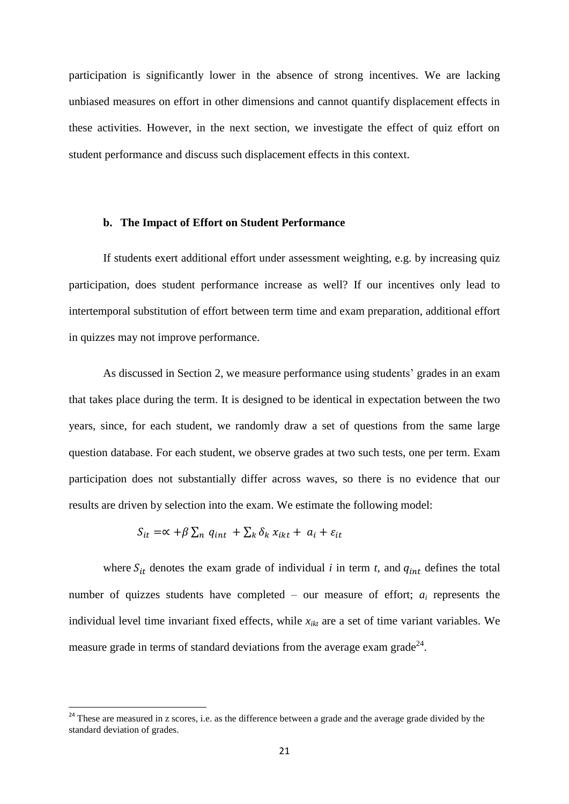participation is significantly lower in the absence of strong incentives. We are lacking unbiased measures on effort in other dimensions and cannot quantify displacement effects in these activities. However, in the next section, we investigate the effect of quiz effort on student performance and discuss such displacement effects in this context.

#### **b. The Impact of Effort on Student Performance**

If students exert additional effort under assessment weighting, e.g. by increasing quiz participation, does student performance increase as well? If our incentives only lead to intertemporal substitution of effort between term time and exam preparation, additional effort in quizzes may not improve performance.

As discussed in Section 2, we measure performance using students' grades in an exam that takes place during the term. It is designed to be identical in expectation between the two years, since, for each student, we randomly draw a set of questions from the same large question database. For each student, we observe grades at two such tests, one per term. Exam participation does not substantially differ across waves, so there is no evidence that our results are driven by selection into the exam. We estimate the following model:

$$
S_{it} = \alpha + \beta \sum_{n} q_{int} + \sum_{k} \delta_{k} x_{ikt} + a_{i} + \varepsilon_{it}
$$

**.** 

where  $S_{it}$  denotes the exam grade of individual *i* in term *t*, and  $q_{int}$  defines the total number of quizzes students have completed – our measure of effort; *a<sup>i</sup>* represents the individual level time invariant fixed effects, while  $x_{ikt}$  are a set of time variant variables. We measure grade in terms of standard deviations from the average exam grade<sup>24</sup>.

<sup>&</sup>lt;sup>24</sup> These are measured in z scores, i.e. as the difference between a grade and the average grade divided by the standard deviation of grades.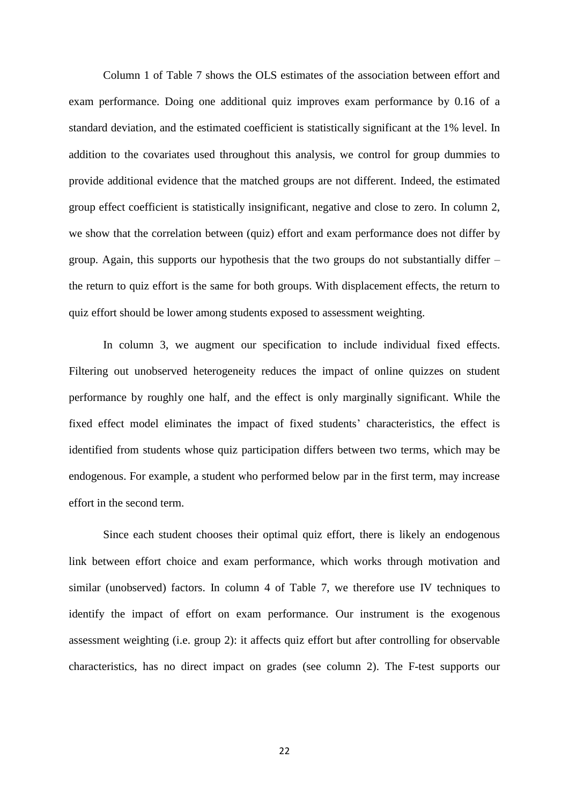Column 1 of Table 7 shows the OLS estimates of the association between effort and exam performance. Doing one additional quiz improves exam performance by 0.16 of a standard deviation, and the estimated coefficient is statistically significant at the 1% level. In addition to the covariates used throughout this analysis, we control for group dummies to provide additional evidence that the matched groups are not different. Indeed, the estimated group effect coefficient is statistically insignificant, negative and close to zero. In column 2, we show that the correlation between (quiz) effort and exam performance does not differ by group. Again, this supports our hypothesis that the two groups do not substantially differ – the return to quiz effort is the same for both groups. With displacement effects, the return to quiz effort should be lower among students exposed to assessment weighting.

In column 3, we augment our specification to include individual fixed effects. Filtering out unobserved heterogeneity reduces the impact of online quizzes on student performance by roughly one half, and the effect is only marginally significant. While the fixed effect model eliminates the impact of fixed students' characteristics, the effect is identified from students whose quiz participation differs between two terms, which may be endogenous. For example, a student who performed below par in the first term, may increase effort in the second term.

Since each student chooses their optimal quiz effort, there is likely an endogenous link between effort choice and exam performance, which works through motivation and similar (unobserved) factors. In column 4 of Table 7, we therefore use IV techniques to identify the impact of effort on exam performance. Our instrument is the exogenous assessment weighting (i.e. group 2): it affects quiz effort but after controlling for observable characteristics, has no direct impact on grades (see column 2). The F-test supports our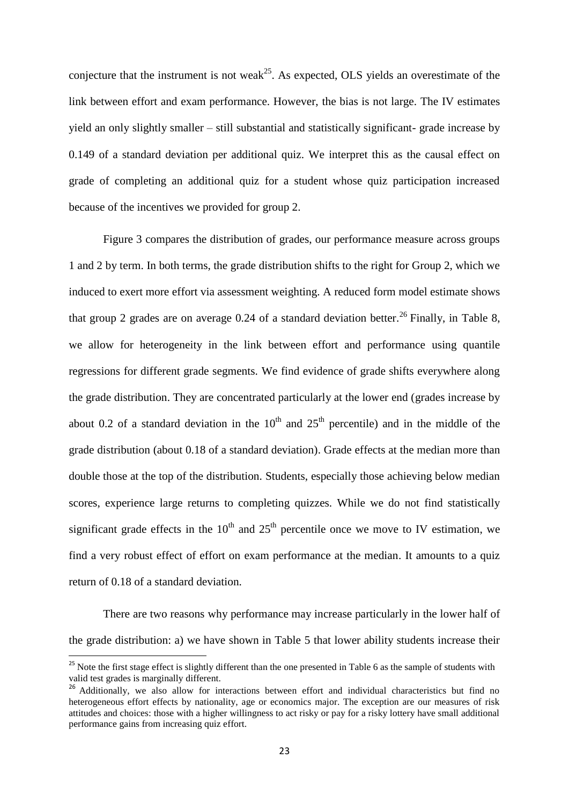conjecture that the instrument is not weak<sup>25</sup>. As expected, OLS yields an overestimate of the link between effort and exam performance. However, the bias is not large. The IV estimates yield an only slightly smaller – still substantial and statistically significant- grade increase by 0.149 of a standard deviation per additional quiz. We interpret this as the causal effect on grade of completing an additional quiz for a student whose quiz participation increased because of the incentives we provided for group 2.

Figure 3 compares the distribution of grades, our performance measure across groups 1 and 2 by term. In both terms, the grade distribution shifts to the right for Group 2, which we induced to exert more effort via assessment weighting. A reduced form model estimate shows that group 2 grades are on average 0.24 of a standard deviation better.<sup>26</sup> Finally, in Table 8, we allow for heterogeneity in the link between effort and performance using quantile regressions for different grade segments. We find evidence of grade shifts everywhere along the grade distribution. They are concentrated particularly at the lower end (grades increase by about 0.2 of a standard deviation in the  $10<sup>th</sup>$  and  $25<sup>th</sup>$  percentile) and in the middle of the grade distribution (about 0.18 of a standard deviation). Grade effects at the median more than double those at the top of the distribution. Students, especially those achieving below median scores, experience large returns to completing quizzes. While we do not find statistically significant grade effects in the  $10<sup>th</sup>$  and  $25<sup>th</sup>$  percentile once we move to IV estimation, we find a very robust effect of effort on exam performance at the median. It amounts to a quiz return of 0.18 of a standard deviation.

There are two reasons why performance may increase particularly in the lower half of the grade distribution: a) we have shown in Table 5 that lower ability students increase their

1

 $25$  Note the first stage effect is slightly different than the one presented in Table 6 as the sample of students with valid test grades is marginally different.

<sup>&</sup>lt;sup>26</sup> Additionally, we also allow for interactions between effort and individual characteristics but find no heterogeneous effort effects by nationality, age or economics major. The exception are our measures of risk attitudes and choices: those with a higher willingness to act risky or pay for a risky lottery have small additional performance gains from increasing quiz effort.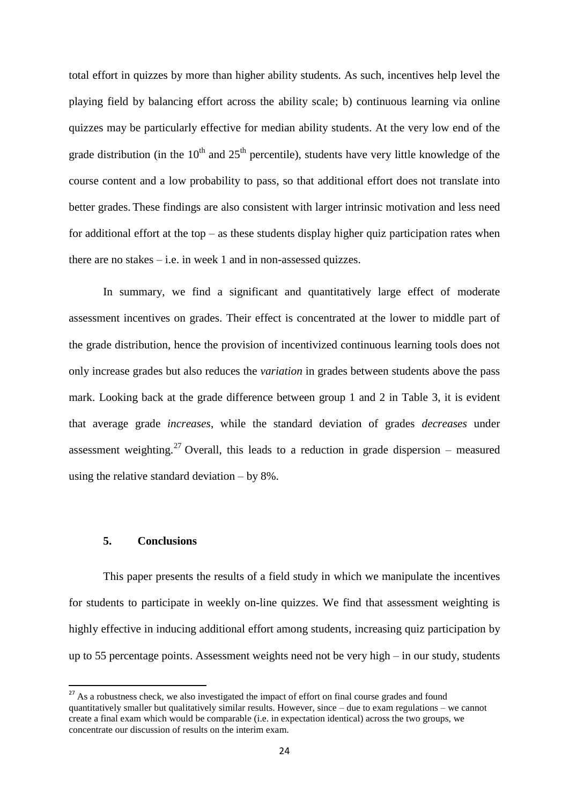total effort in quizzes by more than higher ability students. As such, incentives help level the playing field by balancing effort across the ability scale; b) continuous learning via online quizzes may be particularly effective for median ability students. At the very low end of the grade distribution (in the  $10<sup>th</sup>$  and  $25<sup>th</sup>$  percentile), students have very little knowledge of the course content and a low probability to pass, so that additional effort does not translate into better grades. These findings are also consistent with larger intrinsic motivation and less need for additional effort at the top  $-$  as these students display higher quiz participation rates when there are no stakes  $-$  i.e. in week 1 and in non-assessed quizzes.

In summary, we find a significant and quantitatively large effect of moderate assessment incentives on grades. Their effect is concentrated at the lower to middle part of the grade distribution, hence the provision of incentivized continuous learning tools does not only increase grades but also reduces the *variation* in grades between students above the pass mark. Looking back at the grade difference between group 1 and 2 in Table 3, it is evident that average grade *increases*, while the standard deviation of grades *decreases* under assessment weighting.<sup>27</sup> Overall, this leads to a reduction in grade dispersion – measured using the relative standard deviation – by 8%.

#### **5. Conclusions**

**.** 

This paper presents the results of a field study in which we manipulate the incentives for students to participate in weekly on-line quizzes. We find that assessment weighting is highly effective in inducing additional effort among students, increasing quiz participation by up to 55 percentage points. Assessment weights need not be very high – in our study, students

 $27$  As a robustness check, we also investigated the impact of effort on final course grades and found quantitatively smaller but qualitatively similar results. However, since – due to exam regulations – we cannot create a final exam which would be comparable (i.e. in expectation identical) across the two groups, we concentrate our discussion of results on the interim exam.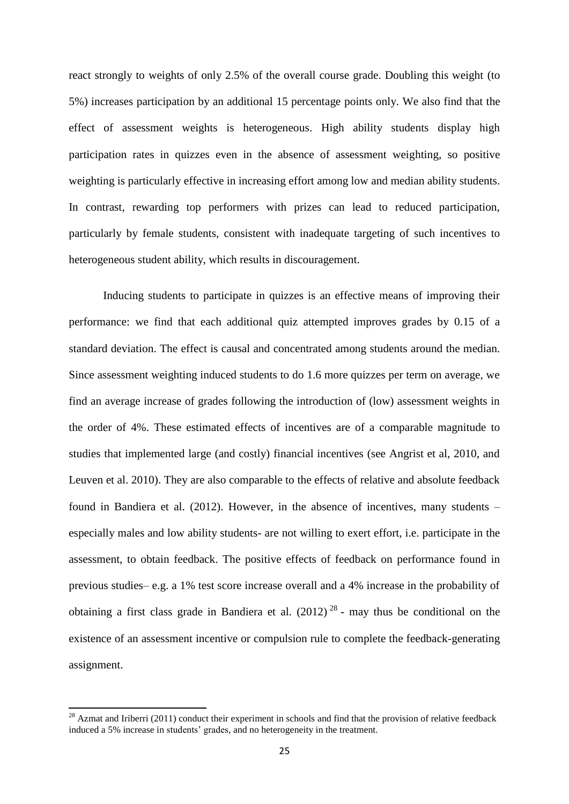react strongly to weights of only 2.5% of the overall course grade. Doubling this weight (to 5%) increases participation by an additional 15 percentage points only. We also find that the effect of assessment weights is heterogeneous. High ability students display high participation rates in quizzes even in the absence of assessment weighting, so positive weighting is particularly effective in increasing effort among low and median ability students. In contrast, rewarding top performers with prizes can lead to reduced participation, particularly by female students, consistent with inadequate targeting of such incentives to heterogeneous student ability, which results in discouragement.

Inducing students to participate in quizzes is an effective means of improving their performance: we find that each additional quiz attempted improves grades by 0.15 of a standard deviation. The effect is causal and concentrated among students around the median. Since assessment weighting induced students to do 1.6 more quizzes per term on average, we find an average increase of grades following the introduction of (low) assessment weights in the order of 4%. These estimated effects of incentives are of a comparable magnitude to studies that implemented large (and costly) financial incentives (see Angrist et al, 2010, and Leuven et al. 2010). They are also comparable to the effects of relative and absolute feedback found in Bandiera et al. (2012). However, in the absence of incentives, many students – especially males and low ability students- are not willing to exert effort, i.e. participate in the assessment, to obtain feedback. The positive effects of feedback on performance found in previous studies– e.g. a 1% test score increase overall and a 4% increase in the probability of obtaining a first class grade in Bandiera et al.  $(2012)^{28}$  - may thus be conditional on the existence of an assessment incentive or compulsion rule to complete the feedback-generating assignment.

 $^{28}$  Azmat and Iriberri (2011) conduct their experiment in schools and find that the provision of relative feedback induced a 5% increase in students' grades, and no heterogeneity in the treatment.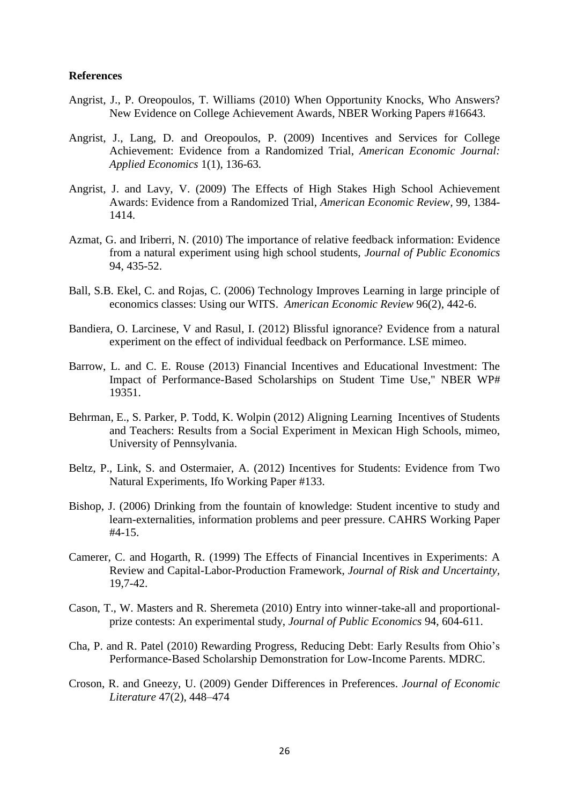#### **References**

- Angrist, J., P. Oreopoulos, T. Williams (2010) [When Opportunity Knocks, Who Answers?](http://ideas.repec.org/p/nbr/nberwo/16643.html)  [New Evidence on College Achievement Awards,](http://ideas.repec.org/p/nbr/nberwo/16643.html) [NBER Working Papers](http://ideas.repec.org/s/nbr/nberwo.html) #16643.
- Angrist, J., Lang, D. and Oreopoulos, P. (2009) [Incentives and Services for College](http://ideas.repec.org/a/aea/aejapp/v1y2009i1p136-63.html)  [Achievement: Evidence from a Randomized Trial,](http://ideas.repec.org/a/aea/aejapp/v1y2009i1p136-63.html) *[American Economic Journal:](http://ideas.repec.org/s/aea/aejapp.html)  [Applied Economics](http://ideas.repec.org/s/aea/aejapp.html)* 1(1), 136-63.
- Angrist, J. and Lavy, V. (2009) The [Effects of High Stakes High School Achievement](http://ideas.repec.org/a/aea/aecrev/v99y2009i4p1384-1414.html)  [Awards: Evidence from a Randomized Trial,](http://ideas.repec.org/a/aea/aecrev/v99y2009i4p1384-1414.html) *[American Economic Review,](http://ideas.repec.org/s/aea/aecrev.html)* 99, 1384- 1414.
- Azmat, G. and Iriberri, N. (2010) The importance of relative feedback information: Evidence from a natural experiment using high school students, *Journal of Public Economics* 94, 435-52.
- Ball, S.B. Ekel, C. and Rojas, C. (2006) Technology Improves Learning in large principle of economics classes: Using our WITS. *American Economic Review* 96(2), 442-6.
- Bandiera, O. Larcinese, V and Rasul, I. (2012) Blissful ignorance? Evidence from a natural experiment on the effect of individual feedback on Performance. LSE mimeo.
- Barrow, L. and C. E. Rouse (2013) [Financial Incentives and Educational Investment: The](http://ideas.repec.org/p/nbr/nberwo/19351.html)  [Impact of Performance-Based Scholarships on Student Time Use,](http://ideas.repec.org/p/nbr/nberwo/19351.html)" [NBER WP#](http://ideas.repec.org/s/nbr/nberwo.html) 19351.
- Behrman, E., S. Parker, P. Todd, K. Wolpin (2012) Aligning Learning Incentives of Students and Teachers: Results from a Social Experiment in Mexican High Schools, mimeo, University of Pennsylvania.
- Beltz, P., Link, S. and Ostermaier, A. (2012) Incentives for Students: Evidence from Two Natural Experiments, Ifo Working Paper #133.
- Bishop, J. (2006) Drinking from the fountain of knowledge: Student incentive to study and learn-externalities, information problems and peer pressure. CAHRS Working Paper #4-15.
- Camerer, C. and Hogarth, R. (1999) [The Effects of Financial Incentives in Experiments: A](http://ideas.repec.org/a/kap/jrisku/v19y1999i1-3p7-42.html)  [Review and Capital-Labor-Production Framework,](http://ideas.repec.org/a/kap/jrisku/v19y1999i1-3p7-42.html) *[Journal of Risk and Uncertainty,](http://ideas.repec.org/s/kap/jrisku.html)* 19,7-42.
- Cason, T., W. Masters and R. Sheremeta (2010) Entry into winner-take-all and proportionalprize contests: An experimental study, *Journal of Public Economics* 94, 604-611.
- Cha, P. and R. Patel (2010) Rewarding Progress, Reducing Debt: Early Results from Ohio's Performance-Based Scholarship Demonstration for Low-Income Parents. MDRC.
- Croson, R. and Gneezy, U. (2009) Gender Differences in Preferences. *Journal of Economic Literature* 47(2), 448–474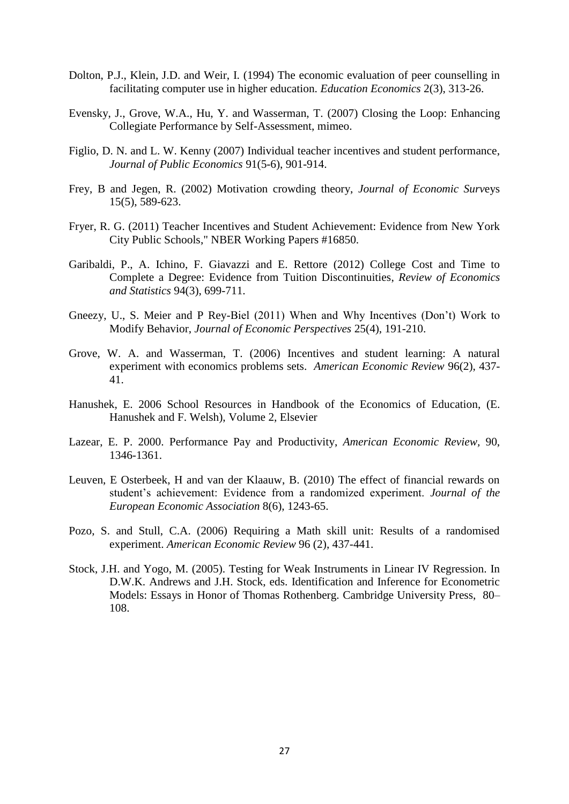- Dolton, P.J., Klein, J.D. and Weir, I. (1994) The economic evaluation of peer counselling in facilitating computer use in higher education. *Education Economics* 2(3), 313-26.
- Evensky, J., Grove, W.A., Hu, Y. and Wasserman, T. (2007) Closing the Loop: Enhancing Collegiate Performance by Self-Assessment, mimeo.
- Figlio, D. N. and L. W. Kenny (2007) [Individual teacher incentives and student performance,](http://ideas.repec.org/a/eee/pubeco/v91y2007i5-6p901-914.html) *[Journal of Public Economics](http://ideas.repec.org/s/eee/pubeco.html)* 91(5-6), 901-914.
- Frey, B and Jegen, R. (2002) Motivation crowding theory, *Journal of Economic Surv*eys 15(5), 589-623.
- Fryer, R. G. (2011) [Teacher Incentives and Student Achievement: Evidence from New York](http://ideas.repec.org/p/nbr/nberwo/16850.html)  [City Public Schools,](http://ideas.repec.org/p/nbr/nberwo/16850.html)" [NBER Working Papers](http://ideas.repec.org/s/nbr/nberwo.html) #16850.
- Garibaldi, P., A. Ichino, F. Giavazzi and E. Rettore (2012) [College Cost and Time to](http://sites.carloalberto.org/garibaldi/doc/tuitions_revecstat.pdf)  [Complete a Degree: Evidence from Tuition Discontinuities,](http://sites.carloalberto.org/garibaldi/doc/tuitions_revecstat.pdf) *Review of Economics and Statistics* 94(3), 699-711.
- Gneezy, U., S. Meier and P Rey-Biel (2011) When and Why Incentives (Don't) Work to Modify Behavior, *Journal of Economic Perspectives* 25(4), 191-210.
- Grove, W. A. and Wasserman, T. (2006) Incentives and student learning: A natural experiment with economics problems sets. *American Economic Review* 96(2), 437- 41.
- Hanushek, E. 2006 School Resources in Handbook of the Economics of Education, (E. Hanushek and F. Welsh), Volume 2, Elsevier
- Lazear, E. P. 2000. [Performance Pay and Productivity,](http://ideas.repec.org/a/aea/aecrev/v90y2000i5p1346-1361.html) *[American Economic Review,](http://ideas.repec.org/s/aea/aecrev.html)* 90, 1346-1361.
- Leuven, E Osterbeek, H and van der Klaauw, B. (2010) The effect of financial rewards on student's achievement: Evidence from a randomized experiment. *Journal of the European Economic Association* 8(6), 1243-65.
- Pozo, S. and Stull, C.A. (2006) Requiring a Math skill unit: Results of a randomised experiment. *American Economic Review* 96 (2), 437-441.
- Stock, J.H. and Yogo, M. (2005). Testing for Weak Instruments in Linear IV Regression. In D.W.K. Andrews and J.H. Stock, eds. Identification and Inference for Econometric Models: Essays in Honor of Thomas Rothenberg. Cambridge University Press, 80– 108.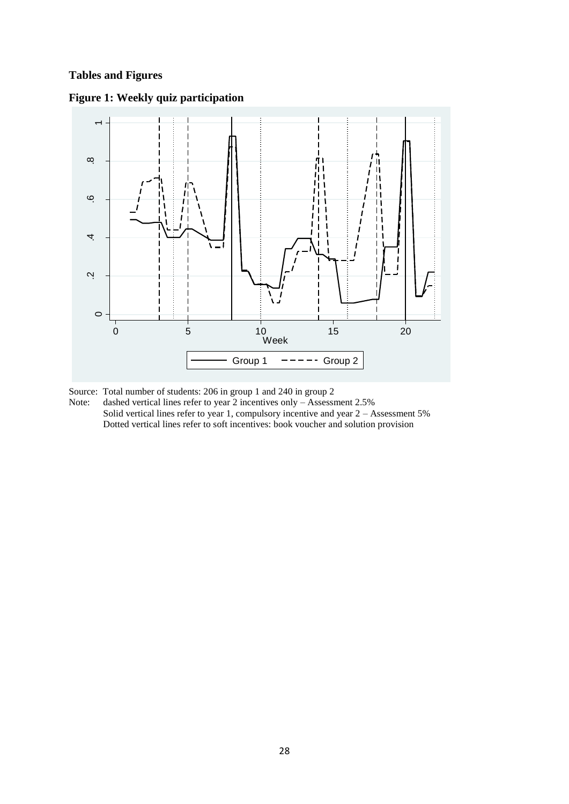### **Tables and Figures**



### **Figure 1: Weekly quiz participation**

Source: Total number of students: 206 in group 1 and 240 in group 2

Note: dashed vertical lines refer to year 2 incentives only - Assessment 2.5% Solid vertical lines refer to year 1, compulsory incentive and year 2 – Assessment 5% Dotted vertical lines refer to soft incentives: book voucher and solution provision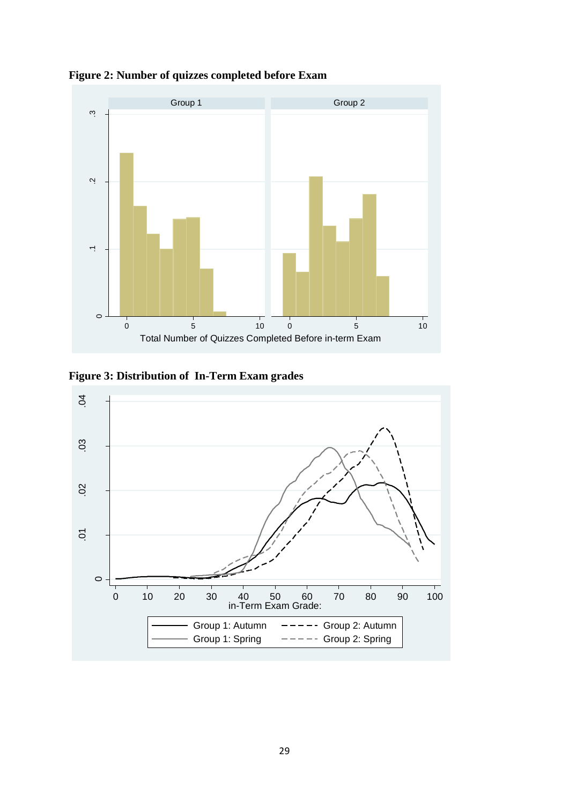

**Figure 2: Number of quizzes completed before Exam** 

**Figure 3: Distribution of In-Term Exam grades**

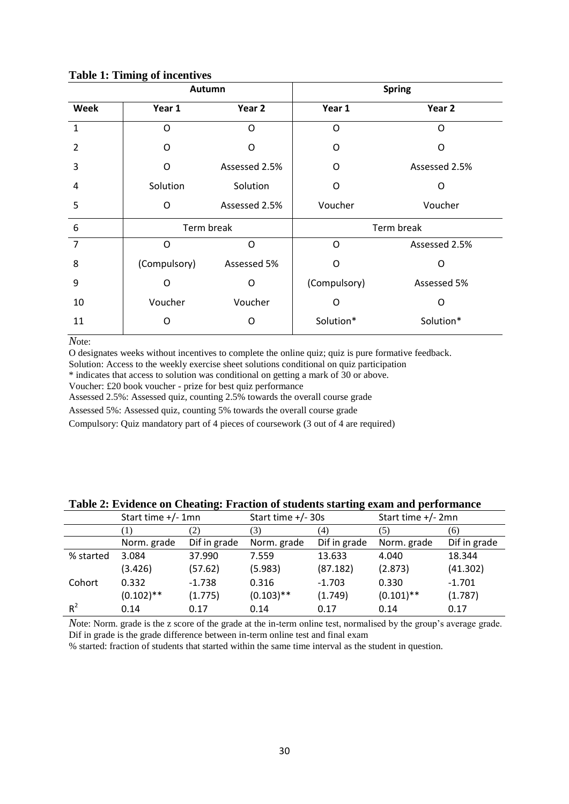|                | Autumn           |               | <b>Spring</b> |               |  |
|----------------|------------------|---------------|---------------|---------------|--|
| Week           | Year 1<br>Year 2 |               | Year 1        | Year 2        |  |
| $\mathbf{1}$   | O                | O             | O             | O             |  |
| $\overline{2}$ | O                | O             | O             | O             |  |
| 3              | O                | Assessed 2.5% | O             | Assessed 2.5% |  |
| 4              | Solution         | Solution      | O             | O             |  |
| 5              | O                | Assessed 2.5% | Voucher       | Voucher       |  |
| 6              | Term break       |               | Term break    |               |  |
| $\overline{7}$ | O                | $\circ$       | O             | Assessed 2.5% |  |
| 8              | (Compulsory)     | Assessed 5%   | O             | O             |  |
| 9              | O                | O             | (Compulsory)  | Assessed 5%   |  |
| 10             | Voucher          | Voucher       | O             | O             |  |
| 11             | O                | Ω             | Solution*     | Solution*     |  |

#### **Table 1: Timing of incentives**

*N*ote:

O designates weeks without incentives to complete the online quiz; quiz is pure formative feedback.

Solution: Access to the weekly exercise sheet solutions conditional on quiz participation

\* indicates that access to solution was conditional on getting a mark of 30 or above.

Voucher: £20 book voucher - prize for best quiz performance

Assessed 2.5%: Assessed quiz, counting 2.5% towards the overall course grade

Assessed 5%: Assessed quiz, counting 5% towards the overall course grade

Compulsory: Quiz mandatory part of 4 pieces of coursework (3 out of 4 are required)

|           | Start time $+/- 1$ mn |              | Start time $+/-30s$ |              | Start time +/- 2mn |              |
|-----------|-----------------------|--------------|---------------------|--------------|--------------------|--------------|
|           | Ð                     | 2)           | (3)                 | (4)          | (5)                | (6)          |
|           | Norm. grade           | Dif in grade | Norm. grade         | Dif in grade | Norm. grade        | Dif in grade |
| % started | 3.084                 | 37.990       | 7.559               | 13.633       | 4.040              | 18.344       |
|           | (3.426)               | (57.62)      | (5.983)             | (87.182)     | (2.873)            | (41.302)     |
| Cohort    | 0.332                 | $-1.738$     | 0.316               | $-1.703$     | 0.330              | $-1.701$     |
|           | $(0.102)$ **          | (1.775)      | $(0.103)$ **        | (1.749)      | $(0.101)$ **       | (1.787)      |
| $R^2$     | 0.14                  | 0.17         | 0.14                | 0.17         | 0.14               | 0.17         |

**Table 2: Evidence on Cheating: Fraction of students starting exam and performance**

*N*ote: Norm. grade is the z score of the grade at the in-term online test, normalised by the group's average grade. Dif in grade is the grade difference between in-term online test and final exam

% started: fraction of students that started within the same time interval as the student in question.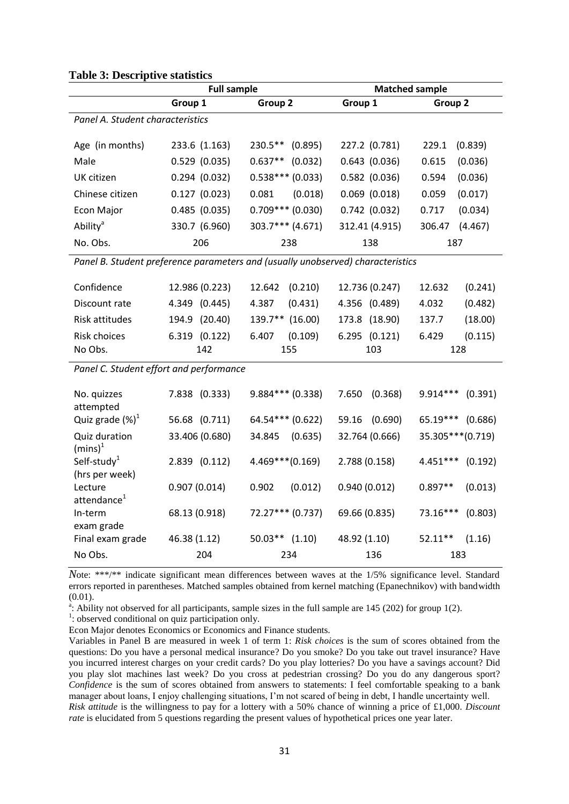|                                           | <b>Full sample</b> |                                                                                 | <b>Matched sample</b> |                       |  |
|-------------------------------------------|--------------------|---------------------------------------------------------------------------------|-----------------------|-----------------------|--|
|                                           | Group 1            | Group 2                                                                         | Group 1               | Group 2               |  |
| Panel A. Student characteristics          |                    |                                                                                 |                       |                       |  |
| Age (in months)                           | 233.6 (1.163)      | $230.5***$<br>(0.895)                                                           | 227.2 (0.781)         | 229.1<br>(0.839)      |  |
| Male                                      | $0.529$ (0.035)    | $0.637**$<br>(0.032)                                                            | $0.643$ $(0.036)$     | 0.615<br>(0.036)      |  |
| UK citizen                                | 0.294(0.032)       | $0.538***(0.033)$                                                               | $0.582$ (0.036)       | (0.036)<br>0.594      |  |
| Chinese citizen                           | 0.127(0.023)       | 0.081<br>(0.018)                                                                | $0.069$ $(0.018)$     | 0.059<br>(0.017)      |  |
| <b>Econ Major</b>                         | 0.485(0.035)       | $0.709***$ (0.030)                                                              | 0.742(0.032)          | (0.034)<br>0.717      |  |
| Ability <sup>a</sup>                      | 330.7 (6.960)      | 303.7*** (4.671)                                                                | 312.41 (4.915)        | (4.467)<br>306.47     |  |
| No. Obs.                                  | 206                | 238                                                                             | 138                   | 187                   |  |
|                                           |                    | Panel B. Student preference parameters and (usually unobserved) characteristics |                       |                       |  |
| Confidence                                | 12.986 (0.223)     | (0.210)<br>12.642                                                               | 12.736 (0.247)        | 12.632<br>(0.241)     |  |
| Discount rate                             | 4.349 (0.445)      | 4.387<br>(0.431)                                                                | 4.356 (0.489)         | 4.032<br>(0.482)      |  |
| Risk attitudes                            | 194.9 (20.40)      | 139.7** (16.00)                                                                 | 173.8 (18.90)         | 137.7<br>(18.00)      |  |
| <b>Risk choices</b>                       | 6.319 (0.122)      | 6.407<br>(0.109)                                                                | 6.295 (0.121)         | (0.115)<br>6.429      |  |
| No Obs.                                   | 142                | 155                                                                             | 103                   | 128                   |  |
| Panel C. Student effort and performance   |                    |                                                                                 |                       |                       |  |
| No. quizzes<br>attempted                  | 7.838 (0.333)      | $9.884***$ (0.338)                                                              | 7.650<br>(0.368)      | $9.914***$<br>(0.391) |  |
| Quiz grade $(\%)^1$                       | 56.68 (0.711)      | 64.54*** (0.622)                                                                | 59.16<br>(0.690)      | 65.19***<br>(0.686)   |  |
| Quiz duration<br>$(mins)^1$               | 33.406 (0.680)     | 34.845<br>(0.635)                                                               | 32.764 (0.666)        | 35.305***(0.719)      |  |
| Self-study <sup>1</sup><br>(hrs per week) | 2.839 (0.112)      | $4.469***(0.169)$                                                               | 2.788 (0.158)         | $4.451***$<br>(0.192) |  |
| Lecture<br>attendance <sup>1</sup>        | 0.907(0.014)       | (0.012)<br>0.902                                                                | 0.940(0.012)          | $0.897**$<br>(0.013)  |  |
| In-term<br>exam grade                     | 68.13 (0.918)      | 72.27*** (0.737)                                                                | 69.66 (0.835)         | 73.16***<br>(0.803)   |  |
| Final exam grade                          | 46.38 (1.12)       | $50.03**$ (1.10)                                                                | 48.92 (1.10)          | $52.11**$<br>(1.16)   |  |
| No Obs.                                   | 204                | 234                                                                             | 136                   | 183                   |  |

#### **Table 3: Descriptive statistics**

*N*ote: \*\*\*/\*\* indicate significant mean differences between waves at the 1/5% significance level. Standard errors reported in parentheses. Matched samples obtained from kernel matching (Epanechnikov) with bandwidth (0.01).

<sup>a</sup>: Ability not observed for all participants, sample sizes in the full sample are 145 (202) for group 1(2).

<sup>1</sup>: observed conditional on quiz participation only.

Econ Major denotes Economics or Economics and Finance students.

Variables in Panel B are measured in week 1 of term 1: *Risk choices* is the sum of scores obtained from the questions: Do you have a personal medical insurance? Do you smoke? Do you take out travel insurance? Have you incurred interest charges on your credit cards? Do you play lotteries? Do you have a savings account? Did you play slot machines last week? Do you cross at pedestrian crossing? Do you do any dangerous sport? *Confidence* is the sum of scores obtained from answers to statements: I feel comfortable speaking to a bank manager about loans, I enjoy challenging situations, I'm not scared of being in debt, I handle uncertainty well. *Risk attitude* is the willingness to pay for a lottery with a 50% chance of winning a price of £1,000. *Discount rate* is elucidated from 5 questions regarding the present values of hypothetical prices one year later.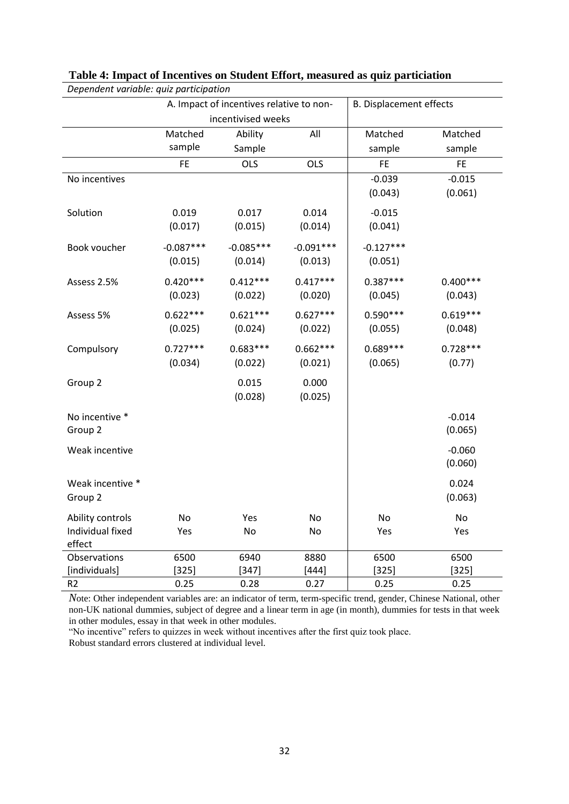| Dependent variable: quiz participation |             |                                          |                                |             |            |  |
|----------------------------------------|-------------|------------------------------------------|--------------------------------|-------------|------------|--|
|                                        |             | A. Impact of incentives relative to non- | <b>B. Displacement effects</b> |             |            |  |
|                                        |             | incentivised weeks                       |                                |             |            |  |
|                                        | Matched     | Ability                                  | All                            | Matched     | Matched    |  |
|                                        | sample      | Sample                                   |                                | sample      | sample     |  |
|                                        | <b>FE</b>   | <b>OLS</b>                               | <b>OLS</b>                     | <b>FE</b>   | <b>FE</b>  |  |
| No incentives                          |             |                                          |                                | $-0.039$    | $-0.015$   |  |
|                                        |             |                                          |                                | (0.043)     | (0.061)    |  |
| Solution                               | 0.019       | 0.017                                    | 0.014                          | $-0.015$    |            |  |
|                                        | (0.017)     | (0.015)                                  | (0.014)                        | (0.041)     |            |  |
| Book voucher                           | $-0.087***$ | $-0.085***$                              | $-0.091***$                    | $-0.127***$ |            |  |
|                                        | (0.015)     | (0.014)                                  | (0.013)                        | (0.051)     |            |  |
| Assess 2.5%                            | $0.420***$  | $0.412***$                               | $0.417***$                     | $0.387***$  | $0.400***$ |  |
|                                        | (0.023)     | (0.022)                                  | (0.020)                        | (0.045)     | (0.043)    |  |
| Assess 5%                              | $0.622***$  | $0.621***$                               | $0.627***$                     | $0.590***$  | $0.619***$ |  |
|                                        | (0.025)     | (0.024)                                  | (0.022)                        | (0.055)     | (0.048)    |  |
| Compulsory                             | $0.727***$  | $0.683***$                               | $0.662***$                     | $0.689***$  | $0.728***$ |  |
|                                        | (0.034)     | (0.022)                                  | (0.021)                        | (0.065)     | (0.77)     |  |
| Group 2                                |             | 0.015                                    | 0.000                          |             |            |  |
|                                        |             | (0.028)                                  | (0.025)                        |             |            |  |
| No incentive *                         |             |                                          |                                |             | $-0.014$   |  |
| Group 2                                |             |                                          |                                |             | (0.065)    |  |
| Weak incentive                         |             |                                          |                                |             | $-0.060$   |  |
|                                        |             |                                          |                                |             | (0.060)    |  |
| Weak incentive *                       |             |                                          |                                |             | 0.024      |  |
| Group 2                                |             |                                          |                                |             | (0.063)    |  |
| Ability controls                       | No          | Yes                                      | No                             | No          | No         |  |
| Individual fixed<br>effect             | Yes         | No                                       | No                             | Yes         | Yes        |  |
| Observations                           | 6500        | 6940                                     | 8880                           | 6500        | 6500       |  |
| [individuals]                          | $[325]$     | $[347]$                                  | $[444]$                        | $[325]$     | $[325]$    |  |
| R <sub>2</sub>                         | 0.25        | 0.28                                     | 0.27                           | 0.25        | 0.25       |  |

#### **Table 4: Impact of Incentives on Student Effort, measured as quiz particiation**

*N*ote: Other independent variables are: an indicator of term, term-specific trend, gender, Chinese National, other non-UK national dummies, subject of degree and a linear term in age (in month), dummies for tests in that week in other modules, essay in that week in other modules.

"No incentive" refers to quizzes in week without incentives after the first quiz took place. Robust standard errors clustered at individual level.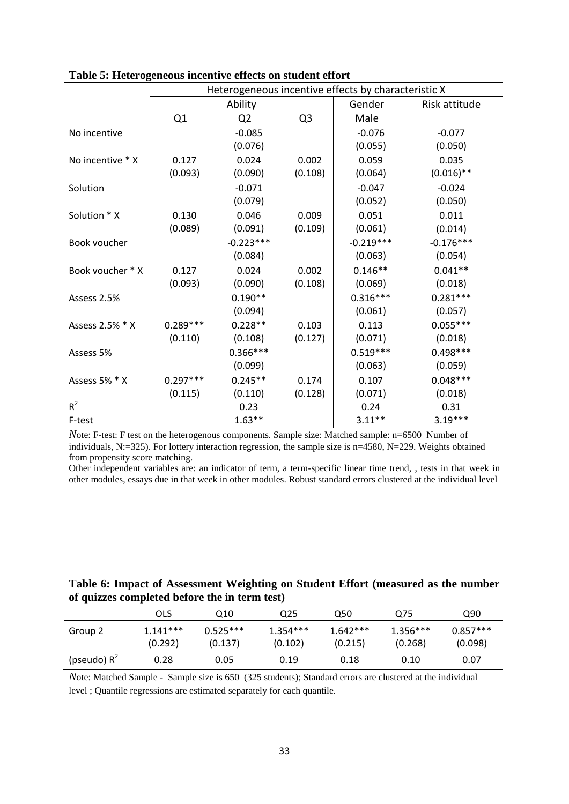|                  | Heterogeneous incentive effects by characteristic X |                |                |             |               |  |
|------------------|-----------------------------------------------------|----------------|----------------|-------------|---------------|--|
|                  |                                                     | Ability        |                | Gender      | Risk attitude |  |
|                  | Q1                                                  | Q <sub>2</sub> | Q <sub>3</sub> | Male        |               |  |
| No incentive     |                                                     | $-0.085$       |                | $-0.076$    | $-0.077$      |  |
|                  |                                                     | (0.076)        |                | (0.055)     | (0.050)       |  |
| No incentive * X | 0.127                                               | 0.024          | 0.002          | 0.059       | 0.035         |  |
|                  | (0.093)                                             | (0.090)        | (0.108)        | (0.064)     | $(0.016)$ **  |  |
| Solution         |                                                     | $-0.071$       |                | $-0.047$    | $-0.024$      |  |
|                  |                                                     | (0.079)        |                | (0.052)     | (0.050)       |  |
| Solution * X     | 0.130                                               | 0.046          | 0.009          | 0.051       | 0.011         |  |
|                  | (0.089)                                             | (0.091)        | (0.109)        | (0.061)     | (0.014)       |  |
| Book voucher     |                                                     | $-0.223***$    |                | $-0.219***$ | $-0.176***$   |  |
|                  |                                                     | (0.084)        |                | (0.063)     | (0.054)       |  |
| Book voucher * X | 0.127                                               | 0.024          | 0.002          | $0.146**$   | $0.041**$     |  |
|                  | (0.093)                                             | (0.090)        | (0.108)        | (0.069)     | (0.018)       |  |
| Assess 2.5%      |                                                     | $0.190**$      |                | $0.316***$  | $0.281***$    |  |
|                  |                                                     | (0.094)        |                | (0.061)     | (0.057)       |  |
| Assess 2.5% * X  | $0.289***$                                          | $0.228**$      | 0.103          | 0.113       | $0.055***$    |  |
|                  | (0.110)                                             | (0.108)        | (0.127)        | (0.071)     | (0.018)       |  |
| Assess 5%        |                                                     | $0.366***$     |                | $0.519***$  | $0.498***$    |  |
|                  |                                                     | (0.099)        |                | (0.063)     | (0.059)       |  |
| Assess 5% * X    | $0.297***$                                          | $0.245**$      | 0.174          | 0.107       | $0.048***$    |  |
|                  | (0.115)                                             | (0.110)        | (0.128)        | (0.071)     | (0.018)       |  |
| $R^2$            |                                                     | 0.23           |                | 0.24        | 0.31          |  |
| F-test           |                                                     | $1.63***$      |                | $3.11**$    | $3.19***$     |  |

**Table 5: Heterogeneous incentive effects on student effort** 

*N*ote: F-test: F test on the heterogenous components. Sample size: Matched sample: n=6500 Number of individuals, N:=325). For lottery interaction regression, the sample size is n=4580, N=229. Weights obtained from propensity score matching.

Other independent variables are: an indicator of term, a term-specific linear time trend, , tests in that week in other modules, essays due in that week in other modules. Robust standard errors clustered at the individual level

| Table 6: Impact of Assessment Weighting on Student Effort (measured as the number |  |  |  |
|-----------------------------------------------------------------------------------|--|--|--|
| of quizzes completed before the in term test)                                     |  |  |  |

|                | OLS                   | Q10                   | Q25                   | Q50                   | Q75                   | Q90                   |
|----------------|-----------------------|-----------------------|-----------------------|-----------------------|-----------------------|-----------------------|
| Group 2        | $1.141***$<br>(0.292) | $0.525***$<br>(0.137) | $1.354***$<br>(0.102) | $1.642***$<br>(0.215) | $1.356***$<br>(0.268) | $0.857***$<br>(0.098) |
| (pseudo) $R^2$ | 0.28                  | 0.05                  | 0.19                  | 0.18                  | 0.10                  | 0.07                  |

*N*ote: Matched Sample - Sample size is 650 (325 students); Standard errors are clustered at the individual level ; Quantile regressions are estimated separately for each quantile.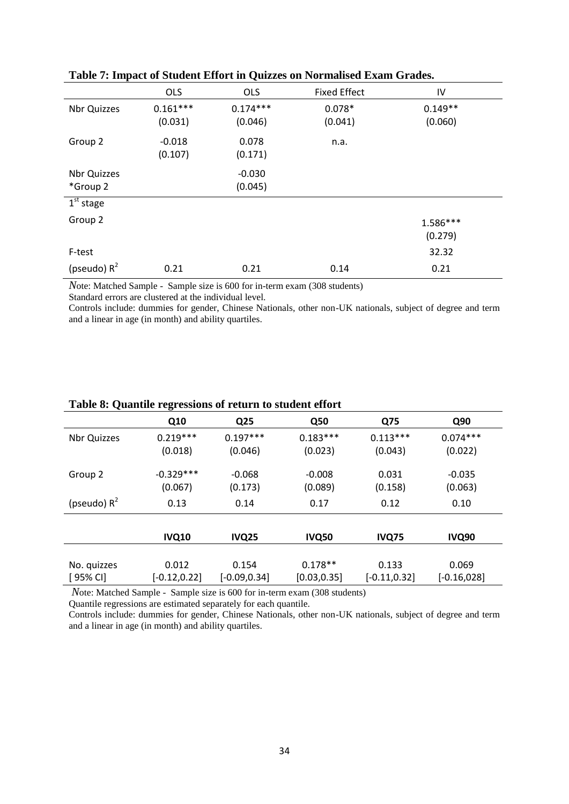|                       | <b>OLS</b> | <b>OLS</b> | <b>Fixed Effect</b> | IV        |
|-----------------------|------------|------------|---------------------|-----------|
| <b>Nbr Quizzes</b>    | $0.161***$ | $0.174***$ | $0.078*$            | $0.149**$ |
|                       | (0.031)    | (0.046)    | (0.041)             | (0.060)   |
| Group 2               | $-0.018$   | 0.078      | n.a.                |           |
|                       | (0.107)    | (0.171)    |                     |           |
| Nbr Quizzes           |            | $-0.030$   |                     |           |
| *Group 2              |            | (0.045)    |                     |           |
| 1 <sup>st</sup> stage |            |            |                     |           |
| Group 2               |            |            |                     | 1.586***  |
|                       |            |            |                     | (0.279)   |
| F-test                |            |            |                     | 32.32     |
| (pseudo) $R^2$        | 0.21       | 0.21       | 0.14                | 0.21      |

#### **Table 7: Impact of Student Effort in Quizzes on Normalised Exam Grades.**

*N*ote: Matched Sample - Sample size is 600 for in-term exam (308 students)

Standard errors are clustered at the individual level.

Controls include: dummies for gender, Chinese Nationals, other non-UK nationals, subject of degree and term and a linear in age (in month) and ability quartiles.

|                    | Q10             | Q25             | <b>Q50</b>   | Q75             | Q90            |
|--------------------|-----------------|-----------------|--------------|-----------------|----------------|
| <b>Nbr Quizzes</b> | $0.219***$      | $0.197***$      | $0.183***$   | $0.113***$      | $0.074***$     |
|                    | (0.018)         | (0.046)         | (0.023)      | (0.043)         | (0.022)        |
|                    |                 |                 |              |                 |                |
| Group 2            | $-0.329***$     | $-0.068$        | $-0.008$     | 0.031           | $-0.035$       |
|                    | (0.067)         | (0.173)         | (0.089)      | (0.158)         | (0.063)        |
| (pseudo) $R^2$     | 0.13            | 0.14            | 0.17         | 0.12            | 0.10           |
|                    |                 |                 |              |                 |                |
|                    | <b>IVQ10</b>    | <b>IVQ25</b>    | <b>IVQ50</b> | <b>IVQ75</b>    | <b>IVQ90</b>   |
|                    |                 |                 |              |                 |                |
| No. quizzes        | 0.012           | 0.154           | $0.178**$    | 0.133           | 0.069          |
| [ 95% CI]          | $[-0.12, 0.22]$ | $[-0.09, 0.34]$ | [0.03, 0.35] | $[-0.11, 0.32]$ | $[-0.16, 028]$ |

#### **Table 8: Quantile regressions of return to student effort**

*N*ote: Matched Sample - Sample size is 600 for in-term exam (308 students)

Quantile regressions are estimated separately for each quantile.

Controls include: dummies for gender, Chinese Nationals, other non-UK nationals, subject of degree and term and a linear in age (in month) and ability quartiles.